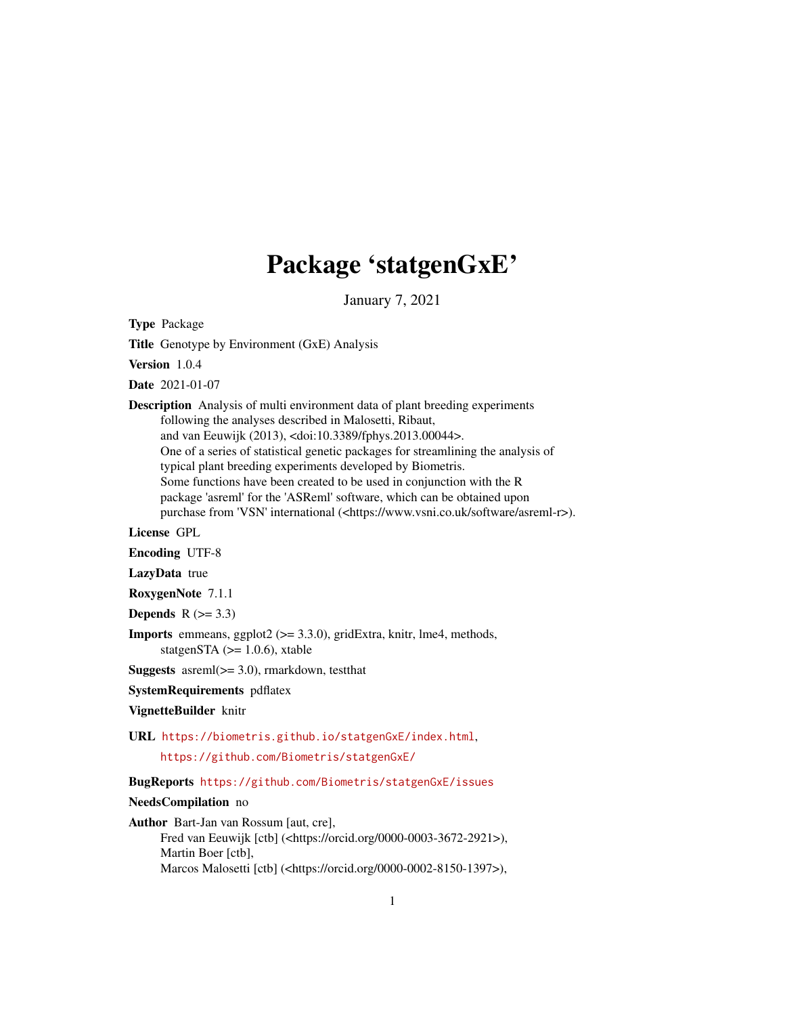## Package 'statgenGxE'

January 7, 2021

<span id="page-0-0"></span>Type Package

Title Genotype by Environment (GxE) Analysis

Version 1.0.4

Date 2021-01-07

Description Analysis of multi environment data of plant breeding experiments following the analyses described in Malosetti, Ribaut, and van Eeuwijk (2013), <doi:10.3389/fphys.2013.00044>. One of a series of statistical genetic packages for streamlining the analysis of typical plant breeding experiments developed by Biometris. Some functions have been created to be used in conjunction with the R package 'asreml' for the 'ASReml' software, which can be obtained upon purchase from 'VSN' international (<https://www.vsni.co.uk/software/asreml-r>).

License GPL

Encoding UTF-8

LazyData true

RoxygenNote 7.1.1

Depends  $R$  ( $>= 3.3$ )

**Imports** emmeans, ggplot2 ( $>= 3.3.0$ ), gridExtra, knitr, lme4, methods, statgenSTA  $(>= 1.0.6)$ , xtable

Suggests asreml(>= 3.0), rmarkdown, testthat

SystemRequirements pdflatex

VignetteBuilder knitr

URL <https://biometris.github.io/statgenGxE/index.html>,

<https://github.com/Biometris/statgenGxE/>

BugReports <https://github.com/Biometris/statgenGxE/issues>

NeedsCompilation no

Author Bart-Jan van Rossum [aut, cre],

Fred van Eeuwijk [ctb] (<https://orcid.org/0000-0003-3672-2921>), Martin Boer [ctb], Marcos Malosetti [ctb] (<https://orcid.org/0000-0002-8150-1397>),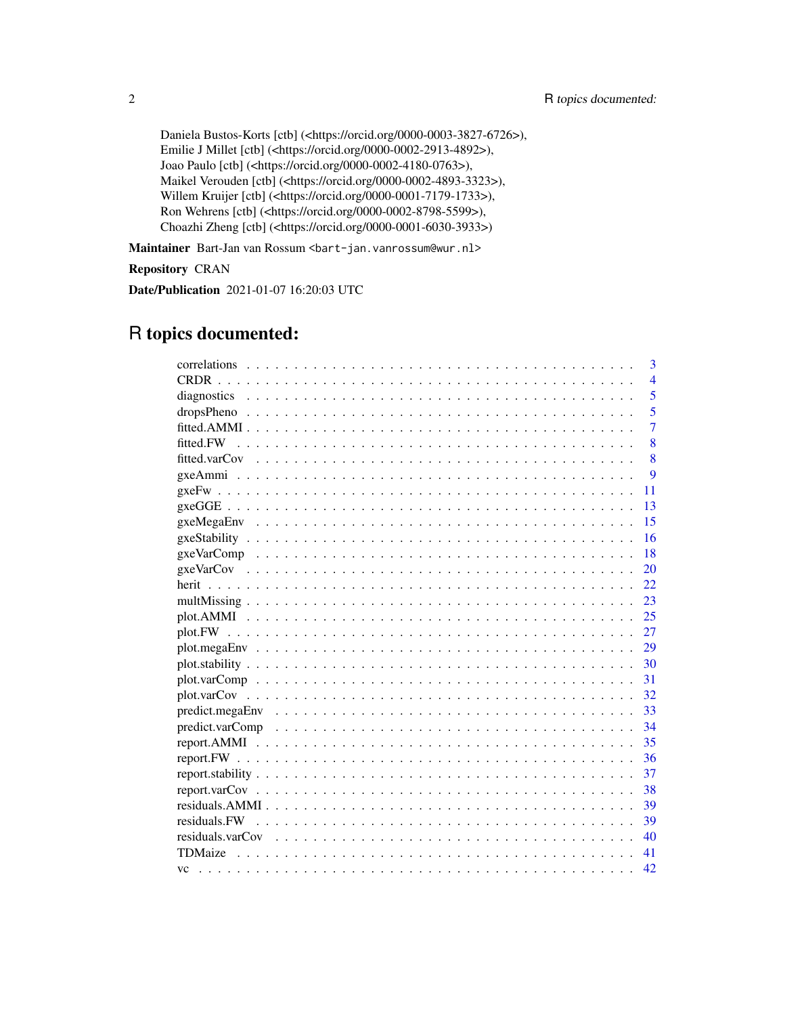```
Daniela Bustos-Korts [ctb] (<https://orcid.org/0000-0003-3827-6726>),
Emilie J Millet [ctb] (<https://orcid.org/0000-0002-2913-4892>),
Joao Paulo [ctb] (<https://orcid.org/0000-0002-4180-0763>),
Maikel Verouden [ctb] (<https://orcid.org/0000-0002-4893-3323>),
Willem Kruijer [ctb] (<https://orcid.org/0000-0001-7179-1733>),
Ron Wehrens [ctb] (<https://orcid.org/0000-0002-8798-5599>),
Choazhi Zheng [ctb] (<https://orcid.org/0000-0001-6030-3933>)
```
Maintainer Bart-Jan van Rossum <br/>bart-jan.vanrossum@wur.nl>

Repository CRAN

Date/Publication 2021-01-07 16:20:03 UTC

## R topics documented:

|                   | 3              |
|-------------------|----------------|
|                   | $\overline{4}$ |
|                   | 5              |
|                   | 5              |
|                   | 7              |
|                   | 8              |
|                   | 8              |
|                   | 9              |
|                   | 11             |
|                   | 13             |
|                   | 15             |
|                   | 16             |
|                   | 18             |
|                   | 20             |
|                   | 22             |
|                   | 23             |
|                   | 25             |
|                   |                |
|                   |                |
| $plot. stability$ | 30             |
|                   | 31             |
|                   | 32             |
|                   | -33            |
|                   | - 34           |
|                   | -35            |
|                   |                |
|                   | 37             |
|                   | 38             |
|                   | 39             |
|                   | -39            |
|                   | 40             |
|                   | 41             |
|                   | 42             |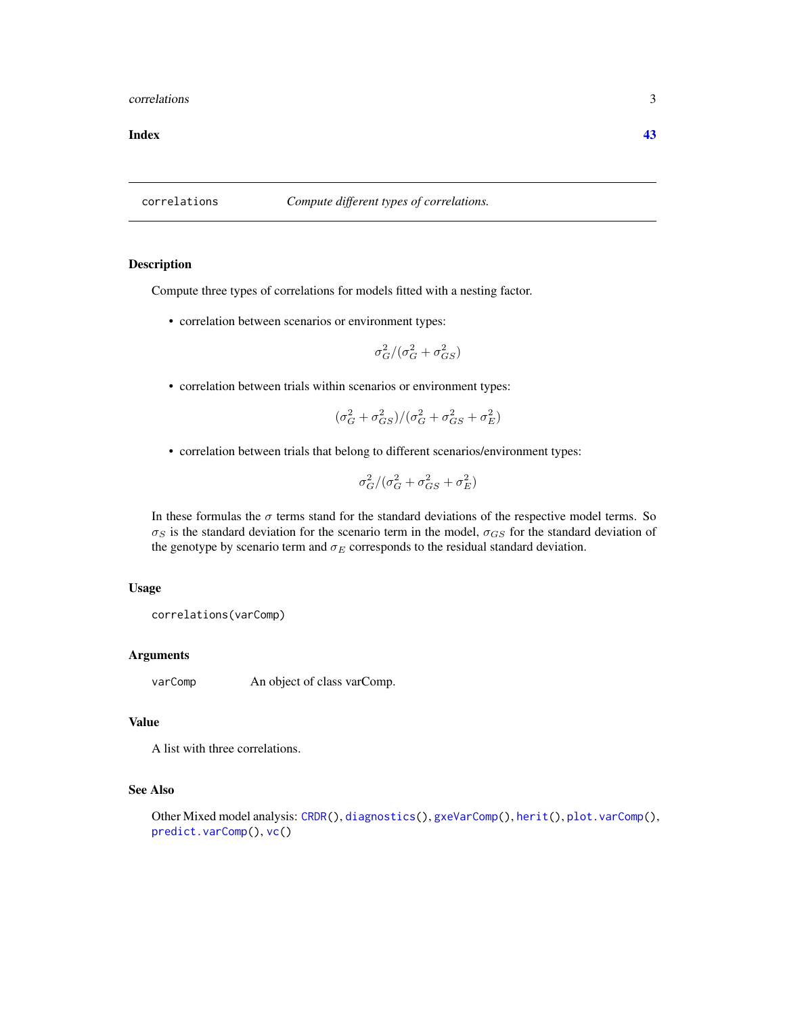#### <span id="page-2-0"></span>correlations 3

#### **Index** [43](#page-42-0)

<span id="page-2-1"></span>correlations *Compute different types of correlations.*

#### Description

Compute three types of correlations for models fitted with a nesting factor.

• correlation between scenarios or environment types:

$$
\sigma_G^2/(\sigma_G^2+\sigma_{GS}^2)
$$

• correlation between trials within scenarios or environment types:

$$
(\sigma_G^2+\sigma_{GS}^2)/(\sigma_G^2+\sigma_{GS}^2+\sigma_E^2)
$$

• correlation between trials that belong to different scenarios/environment types:

$$
\sigma_G^2/(\sigma_G^2+\sigma_{GS}^2+\sigma_E^2)
$$

In these formulas the  $\sigma$  terms stand for the standard deviations of the respective model terms. So  $\sigma_S$  is the standard deviation for the scenario term in the model,  $\sigma_{GS}$  for the standard deviation of the genotype by scenario term and  $\sigma_E$  corresponds to the residual standard deviation.

#### Usage

correlations(varComp)

## Arguments

varComp An object of class varComp.

## Value

A list with three correlations.

## See Also

Other Mixed model analysis: [CRDR\(](#page-3-1)), [diagnostics\(](#page-4-1)), [gxeVarComp\(](#page-17-1)), [herit\(](#page-21-1)), [plot.varComp\(](#page-30-1)), [predict.varComp\(](#page-33-1)), [vc\(](#page-41-1))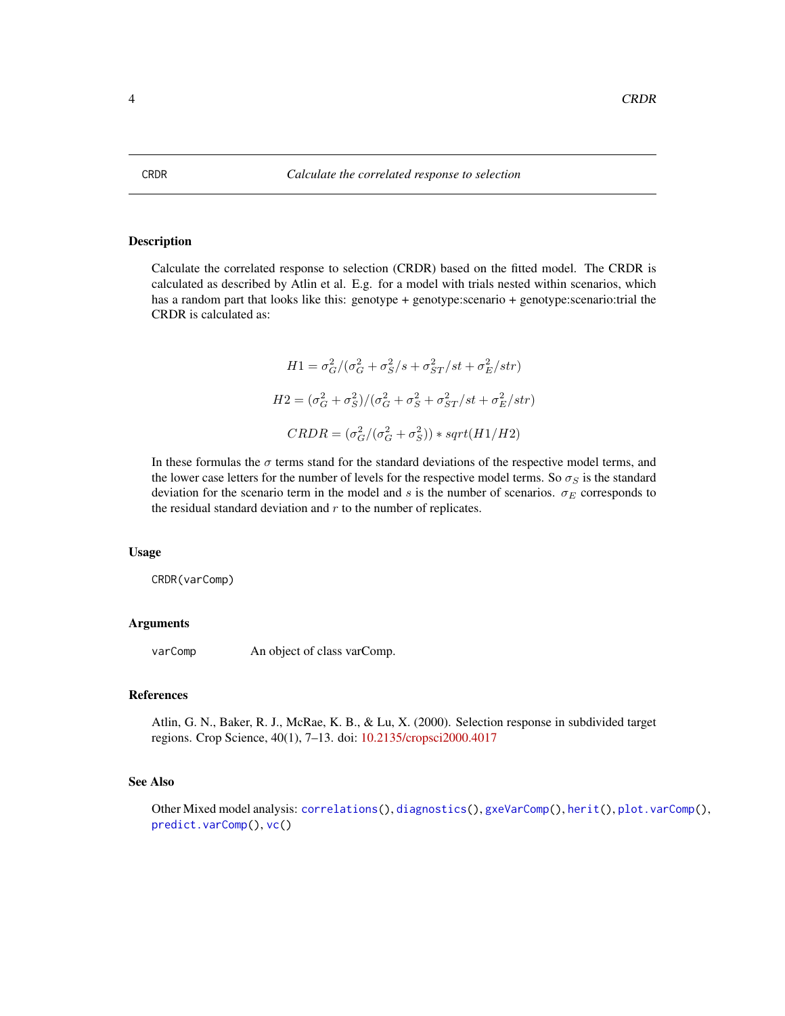<span id="page-3-1"></span><span id="page-3-0"></span>Calculate the correlated response to selection (CRDR) based on the fitted model. The CRDR is calculated as described by Atlin et al. E.g. for a model with trials nested within scenarios, which has a random part that looks like this: genotype + genotype:scenario + genotype:scenario:trial the CRDR is calculated as:

$$
H1 = \sigma_G^2/(\sigma_G^2 + \sigma_S^2/s + \sigma_{ST}^2/st + \sigma_E^2/str)
$$

$$
H2 = (\sigma_G^2 + \sigma_S^2)/(\sigma_G^2 + \sigma_S^2 + \sigma_{ST}^2/st + \sigma_E^2/str)
$$

$$
CRDR = (\sigma_G^2/(\sigma_G^2 + \sigma_S^2)) * sqrt(H1/H2)
$$

In these formulas the  $\sigma$  terms stand for the standard deviations of the respective model terms, and the lower case letters for the number of levels for the respective model terms. So  $\sigma_S$  is the standard deviation for the scenario term in the model and s is the number of scenarios.  $\sigma_E$  corresponds to the residual standard deviation and  $r$  to the number of replicates.

#### Usage

CRDR(varComp)

## Arguments

varComp An object of class varComp.

#### References

Atlin, G. N., Baker, R. J., McRae, K. B., & Lu, X. (2000). Selection response in subdivided target regions. Crop Science, 40(1), 7–13. doi: [10.2135/cropsci2000.4017](https://doi.org/10.2135/cropsci2000.4017)

## See Also

Other Mixed model analysis: [correlations\(](#page-2-1)), [diagnostics\(](#page-4-1)), [gxeVarComp\(](#page-17-1)), [herit\(](#page-21-1)), [plot.varComp\(](#page-30-1)), [predict.varComp\(](#page-33-1)), [vc\(](#page-41-1))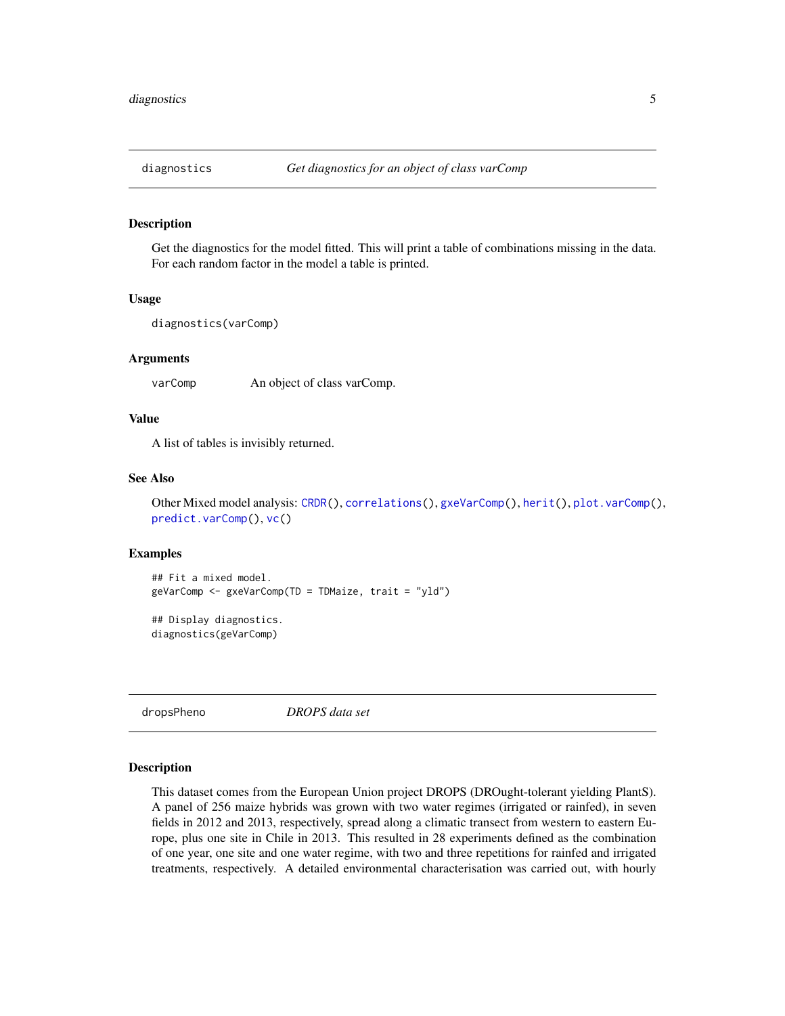<span id="page-4-1"></span><span id="page-4-0"></span>

Get the diagnostics for the model fitted. This will print a table of combinations missing in the data. For each random factor in the model a table is printed.

#### Usage

```
diagnostics(varComp)
```
#### Arguments

varComp An object of class varComp.

#### Value

A list of tables is invisibly returned.

#### See Also

Other Mixed model analysis: [CRDR\(](#page-3-1)), [correlations\(](#page-2-1)), [gxeVarComp\(](#page-17-1)), [herit\(](#page-21-1)), [plot.varComp\(](#page-30-1)), [predict.varComp\(](#page-33-1)), [vc\(](#page-41-1))

#### Examples

```
## Fit a mixed model.
geVarComp <- gxeVarComp(TD = TDMaize, trait = "yld")
```
## Display diagnostics. diagnostics(geVarComp)

dropsPheno *DROPS data set*

#### Description

This dataset comes from the European Union project DROPS (DROught-tolerant yielding PlantS). A panel of 256 maize hybrids was grown with two water regimes (irrigated or rainfed), in seven fields in 2012 and 2013, respectively, spread along a climatic transect from western to eastern Europe, plus one site in Chile in 2013. This resulted in 28 experiments defined as the combination of one year, one site and one water regime, with two and three repetitions for rainfed and irrigated treatments, respectively. A detailed environmental characterisation was carried out, with hourly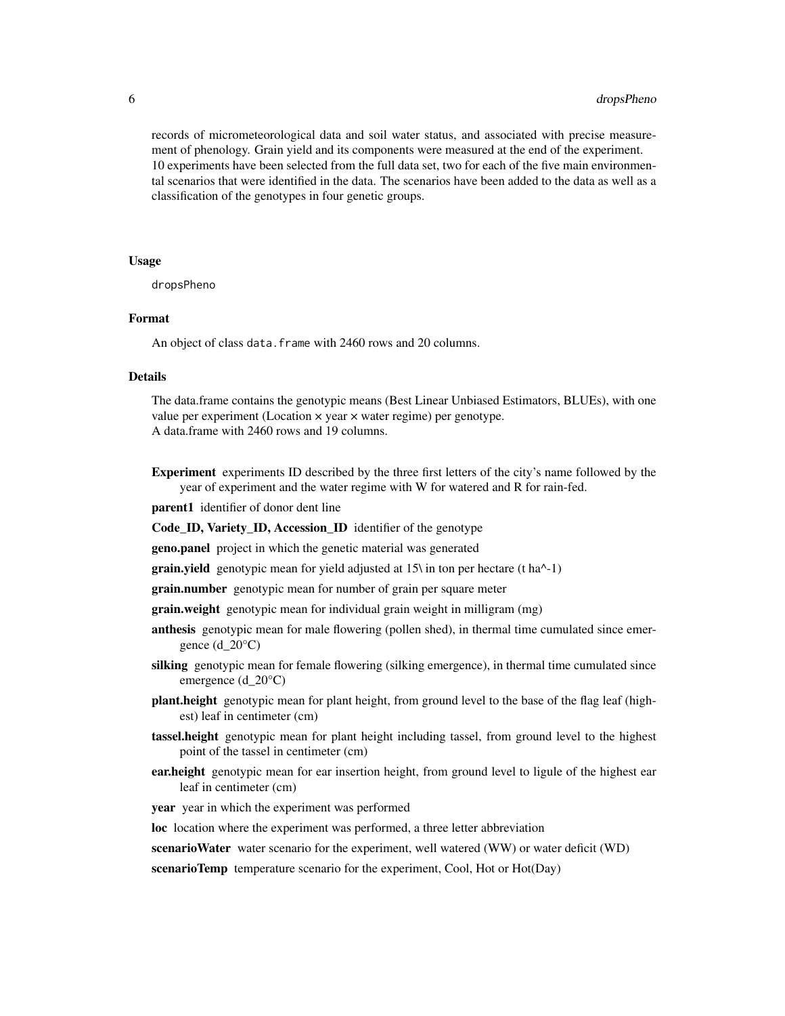records of micrometeorological data and soil water status, and associated with precise measurement of phenology. Grain yield and its components were measured at the end of the experiment. 10 experiments have been selected from the full data set, two for each of the five main environmental scenarios that were identified in the data. The scenarios have been added to the data as well as a classification of the genotypes in four genetic groups.

#### Usage

dropsPheno

#### Format

An object of class data. frame with 2460 rows and 20 columns.

## Details

The data.frame contains the genotypic means (Best Linear Unbiased Estimators, BLUEs), with one value per experiment (Location × year × water regime) per genotype. A data.frame with 2460 rows and 19 columns.

Experiment experiments ID described by the three first letters of the city's name followed by the year of experiment and the water regime with W for watered and R for rain-fed.

parent1 identifier of donor dent line

Code\_ID, Variety\_ID, Accession\_ID identifier of the genotype

geno.panel project in which the genetic material was generated

**grain.yield** genotypic mean for yield adjusted at  $15\pi$  in ton per hectare (t ha<sup> $\wedge$ </sup>-1)

**grain.number** genotypic mean for number of grain per square meter

- **grain.weight** genotypic mean for individual grain weight in milligram (mg)
- anthesis genotypic mean for male flowering (pollen shed), in thermal time cumulated since emergence  $(d_20^{\circ}C)$
- silking genotypic mean for female flowering (silking emergence), in thermal time cumulated since emergence (d\_20°C)
- plant.height genotypic mean for plant height, from ground level to the base of the flag leaf (highest) leaf in centimeter (cm)
- tassel.height genotypic mean for plant height including tassel, from ground level to the highest point of the tassel in centimeter (cm)
- **ear.height** genotypic mean for ear insertion height, from ground level to ligule of the highest ear leaf in centimeter (cm)

year year in which the experiment was performed

loc location where the experiment was performed, a three letter abbreviation

scenarioWater water scenario for the experiment, well watered (WW) or water deficit (WD)

scenarioTemp temperature scenario for the experiment, Cool, Hot or Hot(Day)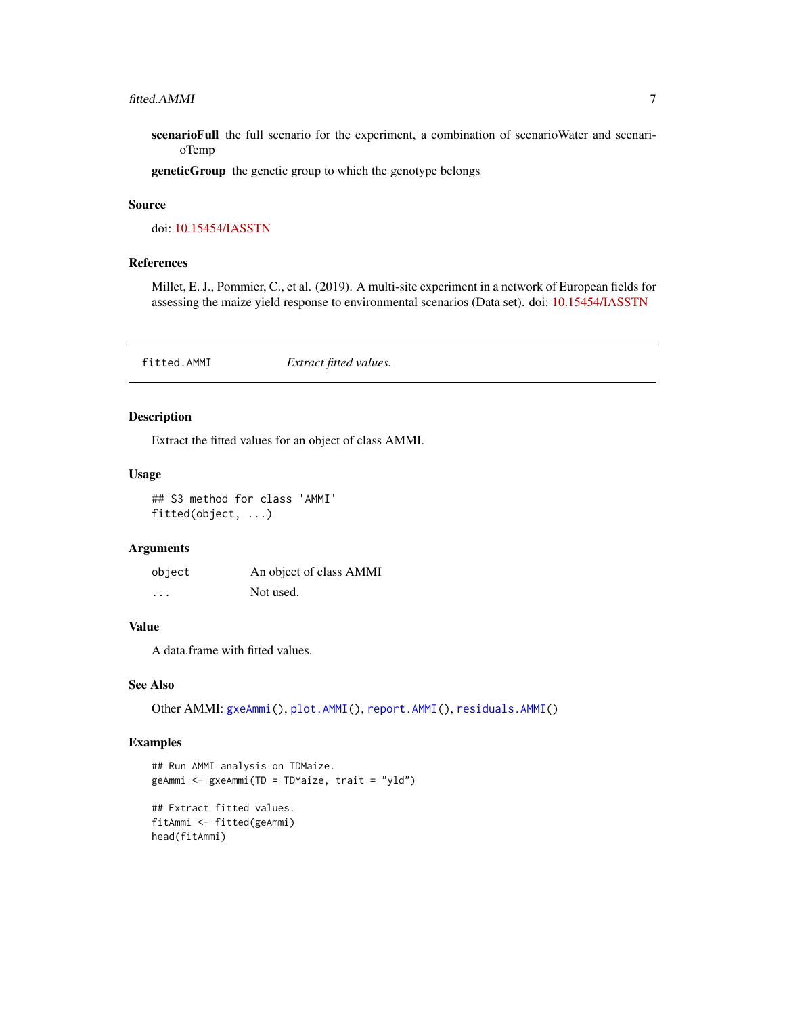<span id="page-6-0"></span>scenarioFull the full scenario for the experiment, a combination of scenarioWater and scenarioTemp

geneticGroup the genetic group to which the genotype belongs

#### Source

doi: [10.15454/IASSTN](https://doi.org/10.15454/IASSTN)

## References

Millet, E. J., Pommier, C., et al. (2019). A multi-site experiment in a network of European fields for assessing the maize yield response to environmental scenarios (Data set). doi: [10.15454/IASSTN](https://doi.org/10.15454/IASSTN)

<span id="page-6-1"></span>fitted.AMMI *Extract fitted values.*

## Description

Extract the fitted values for an object of class AMMI.

#### Usage

## S3 method for class 'AMMI' fitted(object, ...)

#### Arguments

| object   | An object of class AMMI |
|----------|-------------------------|
| $\cdots$ | Not used.               |

#### Value

A data.frame with fitted values.

#### See Also

Other AMMI: [gxeAmmi\(](#page-8-1)), [plot.AMMI\(](#page-24-1)), [report.AMMI\(](#page-34-1)), [residuals.AMMI\(](#page-38-1))

```
## Run AMMI analysis on TDMaize.
geAmmi <- gxeAmmi(TD = TDMaize, trait = "yld")
## Extract fitted values.
fitAmmi <- fitted(geAmmi)
head(fitAmmi)
```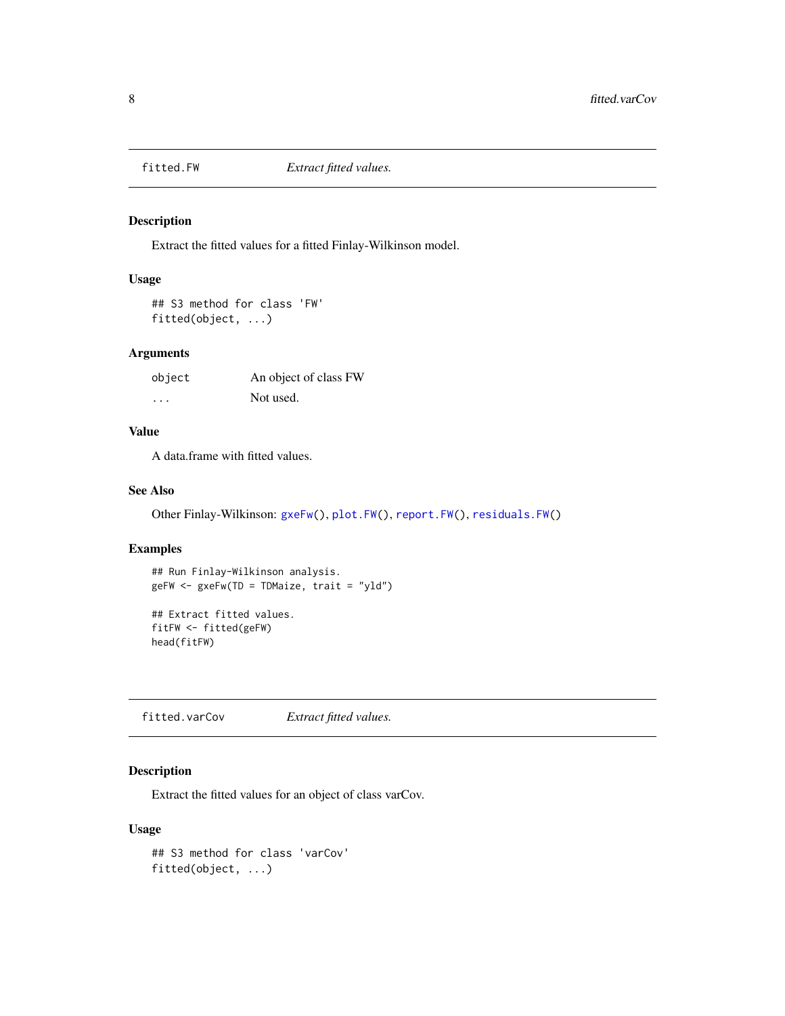<span id="page-7-1"></span><span id="page-7-0"></span>

Extract the fitted values for a fitted Finlay-Wilkinson model.

## Usage

## S3 method for class 'FW' fitted(object, ...)

## Arguments

| object   | An object of class FW |
|----------|-----------------------|
| $\cdots$ | Not used.             |

## Value

A data.frame with fitted values.

#### See Also

Other Finlay-Wilkinson: [gxeFw\(](#page-10-1)), [plot.FW\(](#page-26-1)), [report.FW\(](#page-35-1)), [residuals.FW\(](#page-38-2))

## Examples

```
## Run Finlay-Wilkinson analysis.
geFW <- gxeFw(TD = TDMaize, trait = "yld")
```

```
## Extract fitted values.
fitFW <- fitted(geFW)
head(fitFW)
```
<span id="page-7-2"></span>fitted.varCov *Extract fitted values.*

## Description

Extract the fitted values for an object of class varCov.

#### Usage

```
## S3 method for class 'varCov'
fitted(object, ...)
```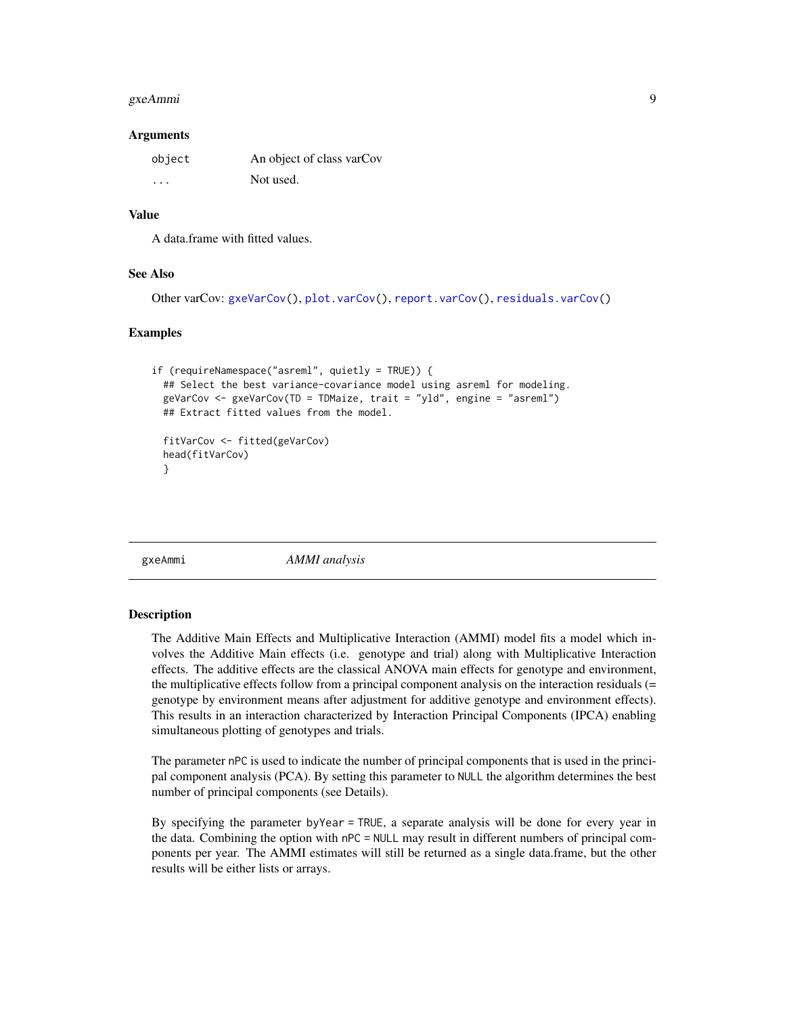#### <span id="page-8-0"></span>gxeAmmi 9

#### **Arguments**

| object  | An object of class varCov |
|---------|---------------------------|
| $\cdot$ | Not used.                 |

## Value

A data.frame with fitted values.

#### See Also

```
Other varCov: gxeVarCov(), plot.varCov(), report.varCov(), residuals.varCov()
```
## Examples

```
if (requireNamespace("asreml", quietly = TRUE)) {
 ## Select the best variance-covariance model using asreml for modeling.
 geVarCov <- gxeVarCov(TD = TDMaize, trait = "yld", engine = "asreml")
 ## Extract fitted values from the model.
 fitVarCov <- fitted(geVarCov)
 head(fitVarCov)
 }
```
<span id="page-8-1"></span>gxeAmmi *AMMI analysis*

#### Description

The Additive Main Effects and Multiplicative Interaction (AMMI) model fits a model which involves the Additive Main effects (i.e. genotype and trial) along with Multiplicative Interaction effects. The additive effects are the classical ANOVA main effects for genotype and environment, the multiplicative effects follow from a principal component analysis on the interaction residuals (= genotype by environment means after adjustment for additive genotype and environment effects). This results in an interaction characterized by Interaction Principal Components (IPCA) enabling simultaneous plotting of genotypes and trials.

The parameter nPC is used to indicate the number of principal components that is used in the principal component analysis (PCA). By setting this parameter to NULL the algorithm determines the best number of principal components (see Details).

By specifying the parameter byYear = TRUE, a separate analysis will be done for every year in the data. Combining the option with nPC = NULL may result in different numbers of principal components per year. The AMMI estimates will still be returned as a single data.frame, but the other results will be either lists or arrays.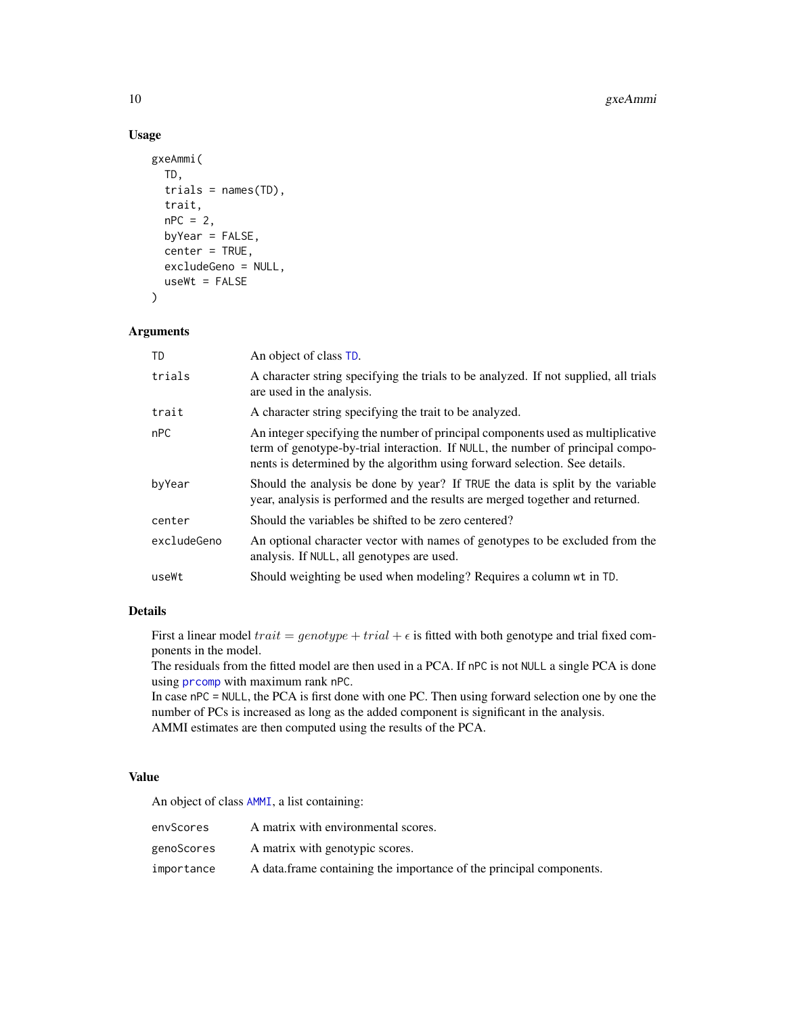## Usage

```
gxeAmmi(
  TD,
  trials = names(TD),
  trait,
  nPC = 2byYear = FALSE,
  center = TRUE,
  excludeGeno = NULL,
  useWt = FALSE
)
```
## Arguments

| TD          | An object of class TD.                                                                                                                                                                                                                          |
|-------------|-------------------------------------------------------------------------------------------------------------------------------------------------------------------------------------------------------------------------------------------------|
| trials      | A character string specifying the trials to be analyzed. If not supplied, all trials<br>are used in the analysis.                                                                                                                               |
| trait       | A character string specifying the trait to be analyzed.                                                                                                                                                                                         |
| nPC         | An integer specifying the number of principal components used as multiplicative<br>term of genotype-by-trial interaction. If NULL, the number of principal compo-<br>nents is determined by the algorithm using forward selection. See details. |
| byYear      | Should the analysis be done by year? If TRUE the data is split by the variable<br>year, analysis is performed and the results are merged together and returned.                                                                                 |
| center      | Should the variables be shifted to be zero centered?                                                                                                                                                                                            |
| excludeGeno | An optional character vector with names of genotypes to be excluded from the<br>analysis. If NULL, all genotypes are used.                                                                                                                      |
| useWt       | Should weighting be used when modeling? Requires a column wt in TD.                                                                                                                                                                             |

## Details

First a linear model  $trait = genotype + trial + \epsilon$  is fitted with both genotype and trial fixed components in the model.

The residuals from the fitted model are then used in a PCA. If nPC is not NULL a single PCA is done using [prcomp](#page-0-0) with maximum rank nPC.

In case nPC = NULL, the PCA is first done with one PC. Then using forward selection one by one the number of PCs is increased as long as the added component is significant in the analysis. AMMI estimates are then computed using the results of the PCA.

## Value

An object of class [AMMI](#page-0-0), a list containing:

| envScores  | A matrix with environmental scores.                                 |
|------------|---------------------------------------------------------------------|
| genoScores | A matrix with genotypic scores.                                     |
| importance | A data frame containing the importance of the principal components. |

<span id="page-9-0"></span>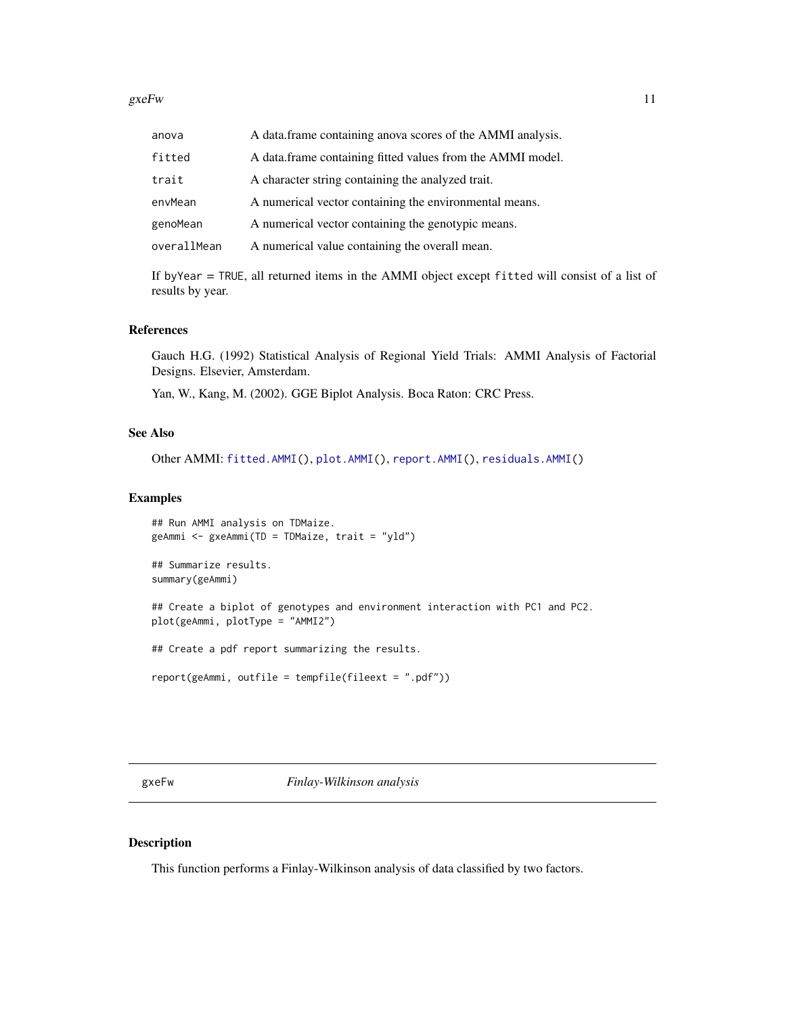#### <span id="page-10-0"></span> $gxeFw$  11

| anova       | A data frame containing anova scores of the AMMI analysis. |
|-------------|------------------------------------------------------------|
| fitted      | A data.frame containing fitted values from the AMMI model. |
| trait       | A character string containing the analyzed trait.          |
| envMean     | A numerical vector containing the environmental means.     |
| genoMean    | A numerical vector containing the genotypic means.         |
| overallMean | A numerical value containing the overall mean.             |

If byYear = TRUE, all returned items in the AMMI object except fitted will consist of a list of results by year.

## References

Gauch H.G. (1992) Statistical Analysis of Regional Yield Trials: AMMI Analysis of Factorial Designs. Elsevier, Amsterdam.

Yan, W., Kang, M. (2002). GGE Biplot Analysis. Boca Raton: CRC Press.

#### See Also

Other AMMI: [fitted.AMMI\(](#page-6-1)), [plot.AMMI\(](#page-24-1)), [report.AMMI\(](#page-34-1)), [residuals.AMMI\(](#page-38-1))

#### Examples

```
## Run AMMI analysis on TDMaize.
geAmmi <- gxeAmmi(TD = TDMaize, trait = "yld")
## Summarize results.
summary(geAmmi)
## Create a biplot of genotypes and environment interaction with PC1 and PC2.
plot(geAmmi, plotType = "AMMI2")
## Create a pdf report summarizing the results.
report(geAmmi, outfile = tempfile(fileext = ".pdf"))
```
<span id="page-10-1"></span>gxeFw *Finlay-Wilkinson analysis*

#### Description

This function performs a Finlay-Wilkinson analysis of data classified by two factors.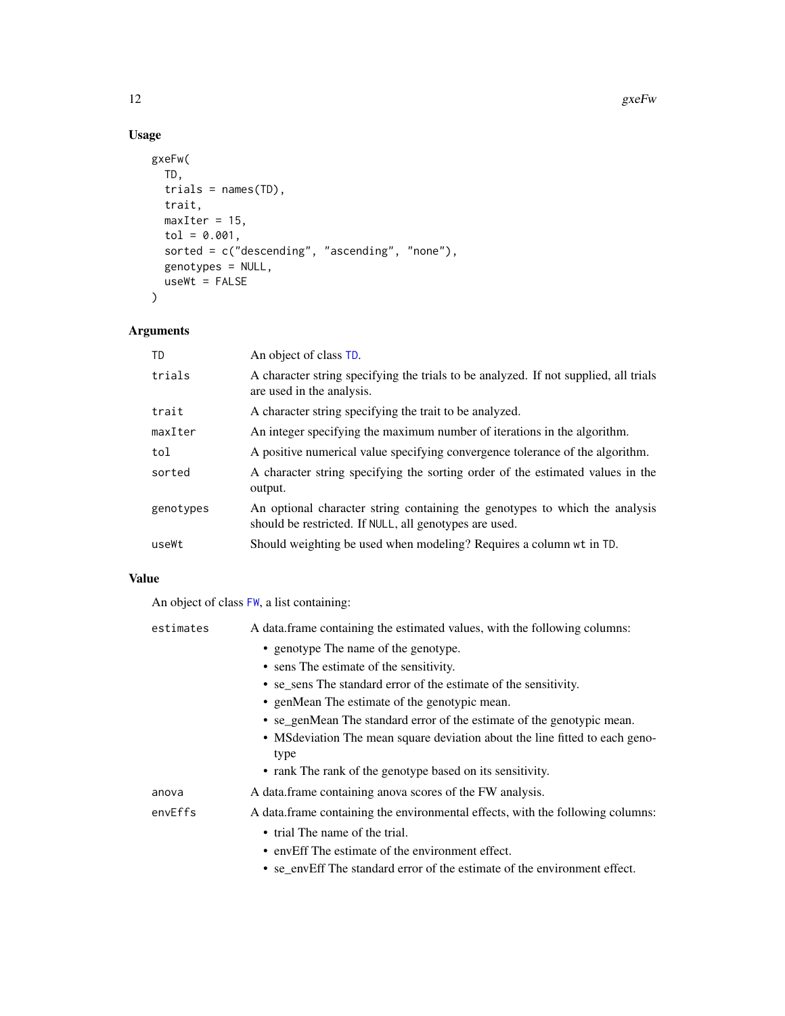## Usage

```
gxeFw(
  TD,
  trials = names(TD),
  trait,
  maxIter = 15,tol = 0.001,sorted = c("descending", "ascending", "none"),
  genotypes = NULL,
  useWt = FALSE
\mathcal{L}
```
## Arguments

| TD        | An object of class TD.                                                                                                                |
|-----------|---------------------------------------------------------------------------------------------------------------------------------------|
| trials    | A character string specifying the trials to be analyzed. If not supplied, all trials<br>are used in the analysis.                     |
| trait     | A character string specifying the trait to be analyzed.                                                                               |
| maxIter   | An integer specifying the maximum number of iterations in the algorithm.                                                              |
| tol       | A positive numerical value specifying convergence tolerance of the algorithm.                                                         |
| sorted    | A character string specifying the sorting order of the estimated values in the<br>output.                                             |
| genotypes | An optional character string containing the genotypes to which the analysis<br>should be restricted. If NULL, all genotypes are used. |
| useWt     | Should weighting be used when modeling? Requires a column wt in TD.                                                                   |

## Value

An object of class [FW](#page-0-0), a list containing:

| estimates | A data frame containing the estimated values, with the following columns:      |
|-----------|--------------------------------------------------------------------------------|
|           | • genotype The name of the genotype.                                           |
|           | • sens The estimate of the sensitivity.                                        |
|           | • se_sens The standard error of the estimate of the sensitivity.               |
|           | • genMean The estimate of the genotypic mean.                                  |
|           | • se_genMean The standard error of the estimate of the genotypic mean.         |
|           | • MS deviation The mean square deviation about the line fitted to each geno-   |
|           | type                                                                           |
|           | • rank The rank of the genotype based on its sensitivity.                      |
| anova     | A data frame containing anova scores of the FW analysis.                       |
| envEffs   | A data frame containing the environmental effects, with the following columns: |
|           | • trial The name of the trial.                                                 |
|           | • envEff The estimate of the environment effect.                               |
|           | • se envEff The standard error of the estimate of the environment effect.      |

<span id="page-11-0"></span>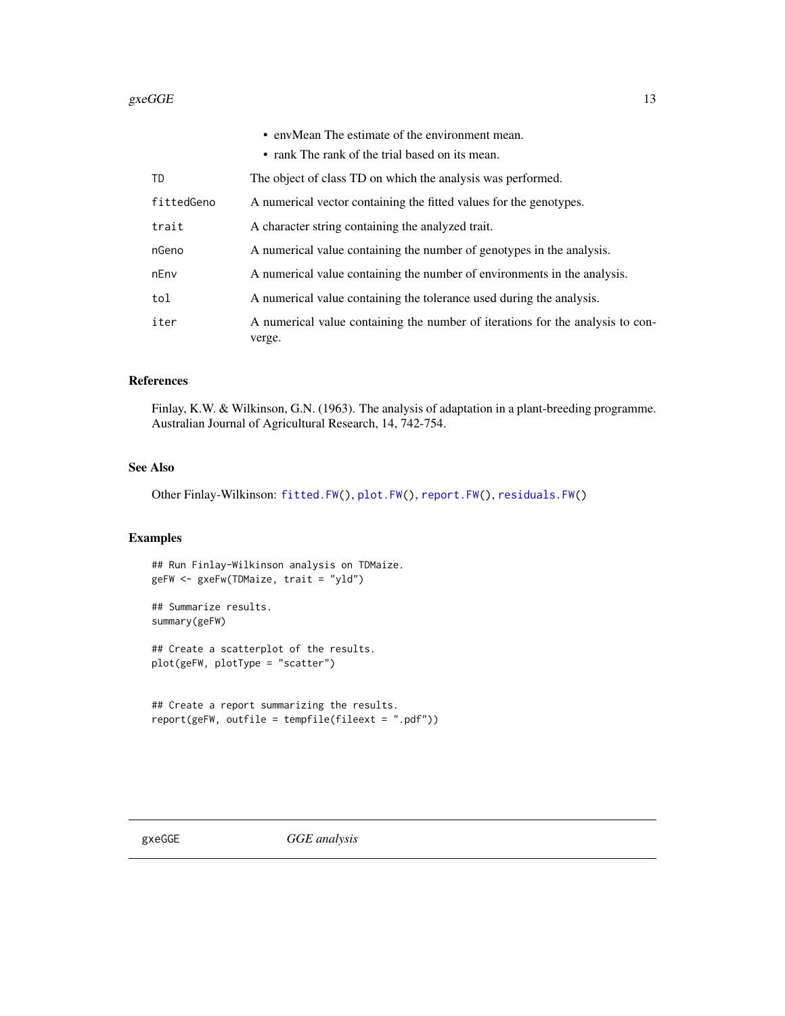#### <span id="page-12-0"></span> $\epsilon$ gxeGGE 13

|            | • envMean The estimate of the environment mean.                                          |
|------------|------------------------------------------------------------------------------------------|
|            | • rank The rank of the trial based on its mean.                                          |
| TD         | The object of class TD on which the analysis was performed.                              |
| fittedGeno | A numerical vector containing the fitted values for the genotypes.                       |
| trait      | A character string containing the analyzed trait.                                        |
| nGeno      | A numerical value containing the number of genotypes in the analysis.                    |
| nEnv       | A numerical value containing the number of environments in the analysis.                 |
| tol        | A numerical value containing the tolerance used during the analysis.                     |
| iter       | A numerical value containing the number of iterations for the analysis to con-<br>verge. |

## References

Finlay, K.W. & Wilkinson, G.N. (1963). The analysis of adaptation in a plant-breeding programme. Australian Journal of Agricultural Research, 14, 742-754.

## See Also

Other Finlay-Wilkinson: [fitted.FW\(](#page-7-1)), [plot.FW\(](#page-26-1)), [report.FW\(](#page-35-1)), [residuals.FW\(](#page-38-2))

## Examples

## Run Finlay-Wilkinson analysis on TDMaize. geFW <- gxeFw(TDMaize, trait = "yld")

## Summarize results. summary(geFW)

## Create a scatterplot of the results. plot(geFW, plotType = "scatter")

```
## Create a report summarizing the results.
report(geFW, outfile = tempfile(fileext = ".pdf"))
```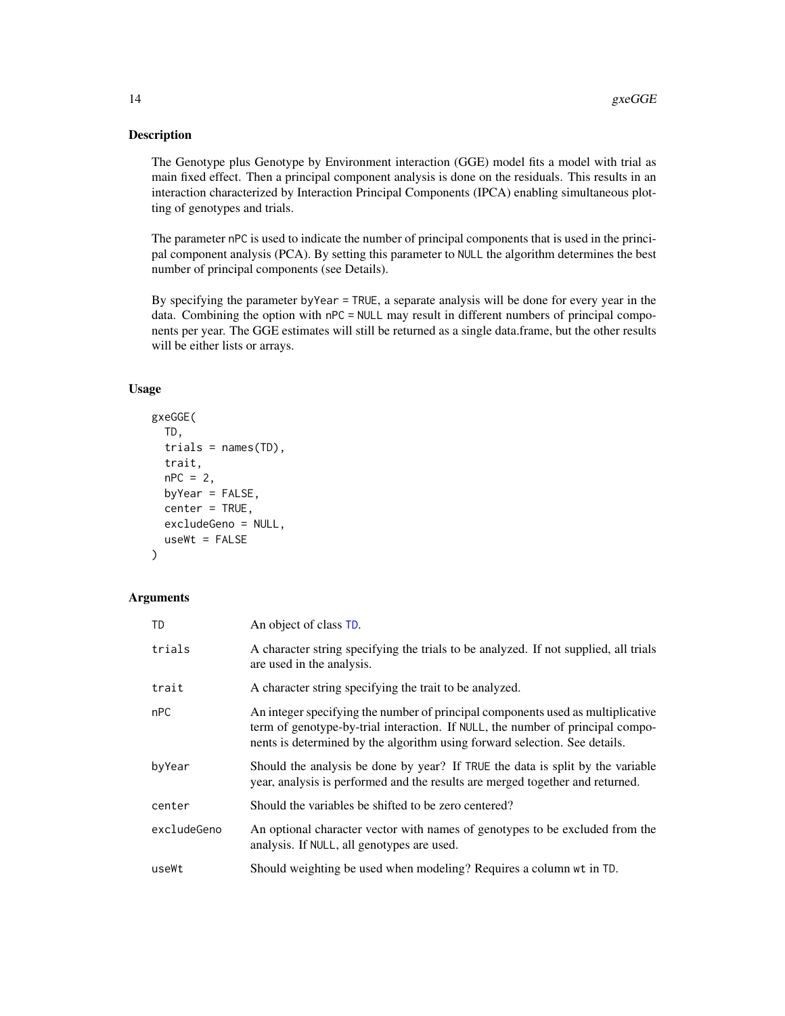<span id="page-13-0"></span>The Genotype plus Genotype by Environment interaction (GGE) model fits a model with trial as main fixed effect. Then a principal component analysis is done on the residuals. This results in an interaction characterized by Interaction Principal Components (IPCA) enabling simultaneous plotting of genotypes and trials.

The parameter nPC is used to indicate the number of principal components that is used in the principal component analysis (PCA). By setting this parameter to NULL the algorithm determines the best number of principal components (see Details).

By specifying the parameter byYear = TRUE, a separate analysis will be done for every year in the data. Combining the option with nPC = NULL may result in different numbers of principal components per year. The GGE estimates will still be returned as a single data.frame, but the other results will be either lists or arrays.

## Usage

```
gxeGGE(
  TD,
  trials = names(TD),
  trait,
  nPC = 2,
  byYear = FALSE,
  center = TRUE,
  excludeGeno = NULL,
  useWt = FALSE
)
```
## Arguments

| <b>TD</b>   | An object of class TD.                                                                                                                                                                                                                          |
|-------------|-------------------------------------------------------------------------------------------------------------------------------------------------------------------------------------------------------------------------------------------------|
| trials      | A character string specifying the trials to be analyzed. If not supplied, all trials<br>are used in the analysis.                                                                                                                               |
| trait       | A character string specifying the trait to be analyzed.                                                                                                                                                                                         |
| nPC         | An integer specifying the number of principal components used as multiplicative<br>term of genotype-by-trial interaction. If NULL, the number of principal compo-<br>nents is determined by the algorithm using forward selection. See details. |
| byYear      | Should the analysis be done by year? If TRUE the data is split by the variable<br>year, analysis is performed and the results are merged together and returned.                                                                                 |
| center      | Should the variables be shifted to be zero centered?                                                                                                                                                                                            |
| excludeGeno | An optional character vector with names of genotypes to be excluded from the<br>analysis. If NULL, all genotypes are used.                                                                                                                      |
| useWt       | Should weighting be used when modeling? Requires a column wt in TD.                                                                                                                                                                             |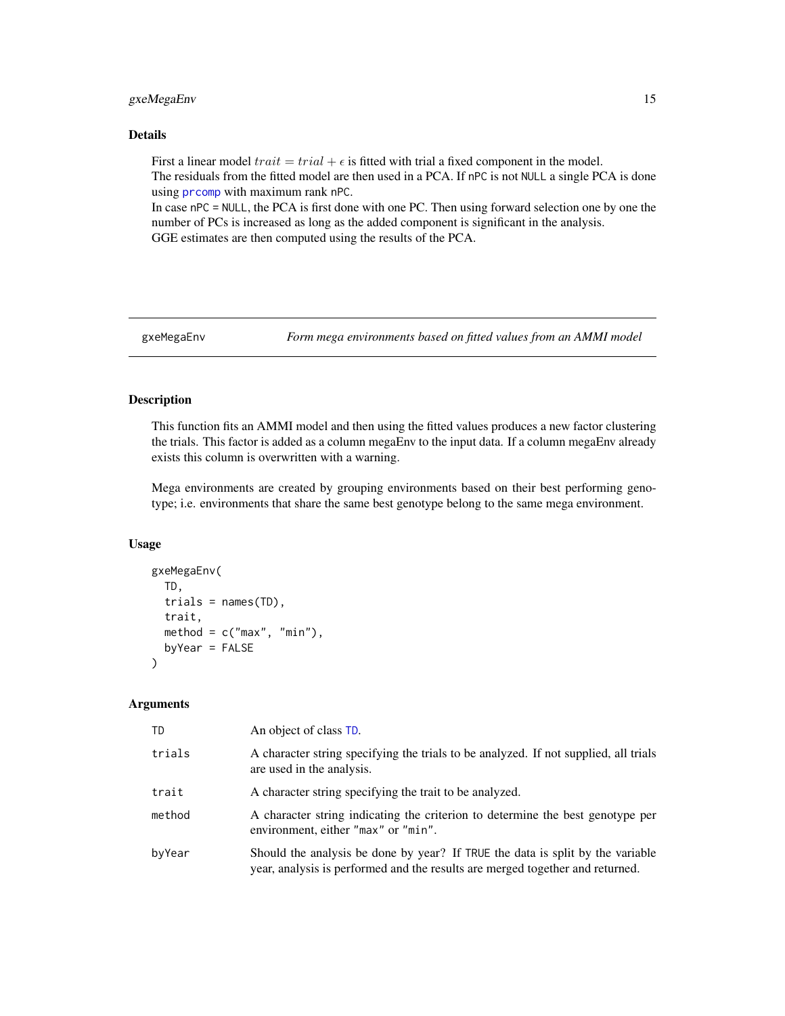## <span id="page-14-0"></span>gxeMegaEnv 15

#### Details

First a linear model  $train = trial + \epsilon$  is fitted with trial a fixed component in the model. The residuals from the fitted model are then used in a PCA. If nPC is not NULL a single PCA is done using [prcomp](#page-0-0) with maximum rank nPC.

In case nPC = NULL, the PCA is first done with one PC. Then using forward selection one by one the number of PCs is increased as long as the added component is significant in the analysis. GGE estimates are then computed using the results of the PCA.

<span id="page-14-1"></span>gxeMegaEnv *Form mega environments based on fitted values from an AMMI model*

## Description

This function fits an AMMI model and then using the fitted values produces a new factor clustering the trials. This factor is added as a column megaEnv to the input data. If a column megaEnv already exists this column is overwritten with a warning.

Mega environments are created by grouping environments based on their best performing genotype; i.e. environments that share the same best genotype belong to the same mega environment.

#### Usage

```
gxeMegaEnv(
  TD,
  trials = names(TD),trait,
 method = c("max", "min"),
 byYear = FALSE
)
```
#### Arguments

| TD     | An object of class TD.                                                                                                                                          |
|--------|-----------------------------------------------------------------------------------------------------------------------------------------------------------------|
| trials | A character string specifying the trials to be analyzed. If not supplied, all trials<br>are used in the analysis.                                               |
| trait  | A character string specifying the trait to be analyzed.                                                                                                         |
| method | A character string indicating the criterion to determine the best genotype per<br>environment, either "max" or "min".                                           |
| byYear | Should the analysis be done by year? If TRUE the data is split by the variable<br>year, analysis is performed and the results are merged together and returned. |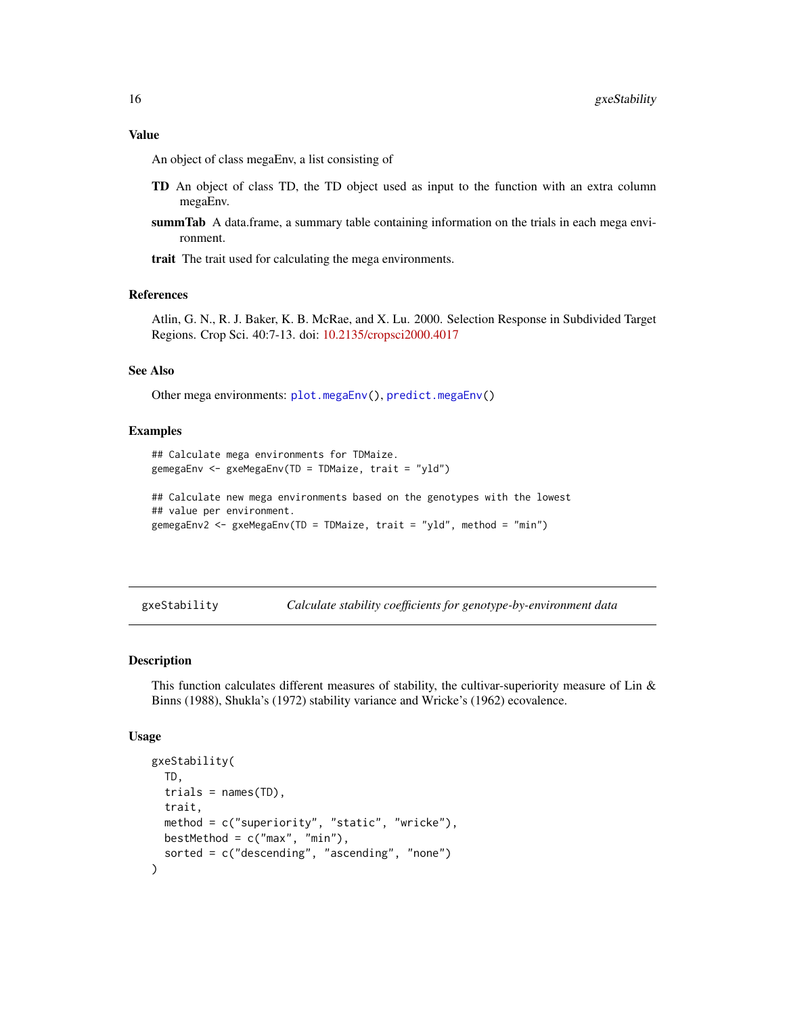#### <span id="page-15-0"></span>Value

An object of class megaEnv, a list consisting of

- TD An object of class TD, the TD object used as input to the function with an extra column megaEnv.
- **summTab** A data.frame, a summary table containing information on the trials in each mega environment.

trait The trait used for calculating the mega environments.

## References

Atlin, G. N., R. J. Baker, K. B. McRae, and X. Lu. 2000. Selection Response in Subdivided Target Regions. Crop Sci. 40:7-13. doi: [10.2135/cropsci2000.4017](https://doi.org/10.2135/cropsci2000.4017)

#### See Also

Other mega environments: [plot.megaEnv\(](#page-28-1)), [predict.megaEnv\(](#page-32-1))

#### Examples

```
## Calculate mega environments for TDMaize.
gemegaEnv <- gxeMegaEnv(TD = TDMaize, trait = "yld")
```

```
## Calculate new mega environments based on the genotypes with the lowest
## value per environment.
gemegaEnv2 <- gxeMegaEnv(TD = TDMaize, trait = "yld", method = "min")
```
<span id="page-15-1"></span>gxeStability *Calculate stability coefficients for genotype-by-environment data*

#### Description

This function calculates different measures of stability, the cultivar-superiority measure of Lin  $\&$ Binns (1988), Shukla's (1972) stability variance and Wricke's (1962) ecovalence.

#### Usage

```
gxeStability(
 TD,
  trials = names(TD),
  trait,
 method = c("superiority", "static", "wricke"),
 bestMethod = c("max", "min"),
  sorted = c("descending", "ascending", "none")
)
```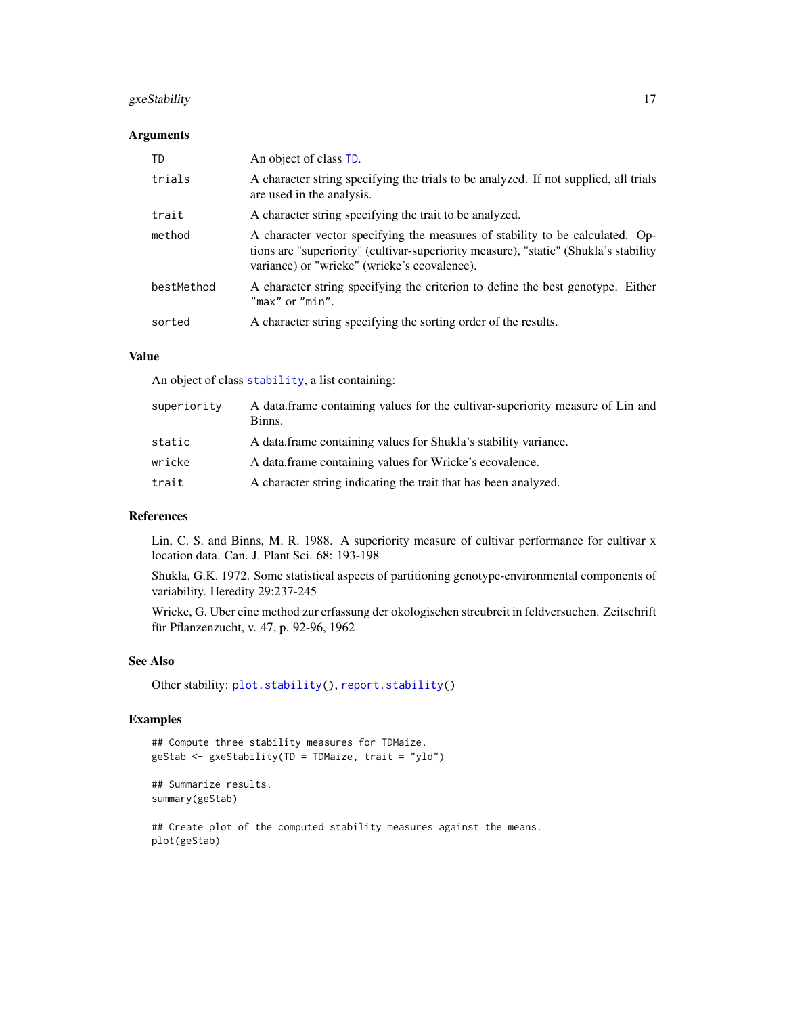## <span id="page-16-0"></span>gxeStability 17

#### Arguments

| TD         | An object of class TD.                                                                                                                                                                                                |
|------------|-----------------------------------------------------------------------------------------------------------------------------------------------------------------------------------------------------------------------|
| trials     | A character string specifying the trials to be analyzed. If not supplied, all trials<br>are used in the analysis.                                                                                                     |
| trait      | A character string specifying the trait to be analyzed.                                                                                                                                                               |
| method     | A character vector specifying the measures of stability to be calculated. Op-<br>tions are "superiority" (cultivar-superiority measure), "static" (Shukla's stability<br>variance) or "wricke" (wricke's ecovalence). |
| bestMethod | A character string specifying the criterion to define the best genotype. Either<br>"max" or "min".                                                                                                                    |
| sorted     | A character string specifying the sorting order of the results.                                                                                                                                                       |

## Value

An object of class [stability](#page-0-0), a list containing:

| superiority | A data frame containing values for the cultivar-superiority measure of Lin and<br>Binns. |
|-------------|------------------------------------------------------------------------------------------|
| static      | A data.frame containing values for Shukla's stability variance.                          |
| wricke      | A data frame containing values for Wricke's ecovalence.                                  |
| trait       | A character string indicating the trait that has been analyzed.                          |

## References

Lin, C. S. and Binns, M. R. 1988. A superiority measure of cultivar performance for cultivar x location data. Can. J. Plant Sci. 68: 193-198

Shukla, G.K. 1972. Some statistical aspects of partitioning genotype-environmental components of variability. Heredity 29:237-245

Wricke, G. Uber eine method zur erfassung der okologischen streubreit in feldversuchen. Zeitschrift für Pflanzenzucht, v. 47, p. 92-96, 1962

## See Also

Other stability: [plot.stability\(](#page-29-1)), [report.stability\(](#page-36-1))

```
## Compute three stability measures for TDMaize.
geStab <- gxeStability(TD = TDMaize, trait = "yld")
```

```
## Summarize results.
summary(geStab)
```

```
## Create plot of the computed stability measures against the means.
plot(geStab)
```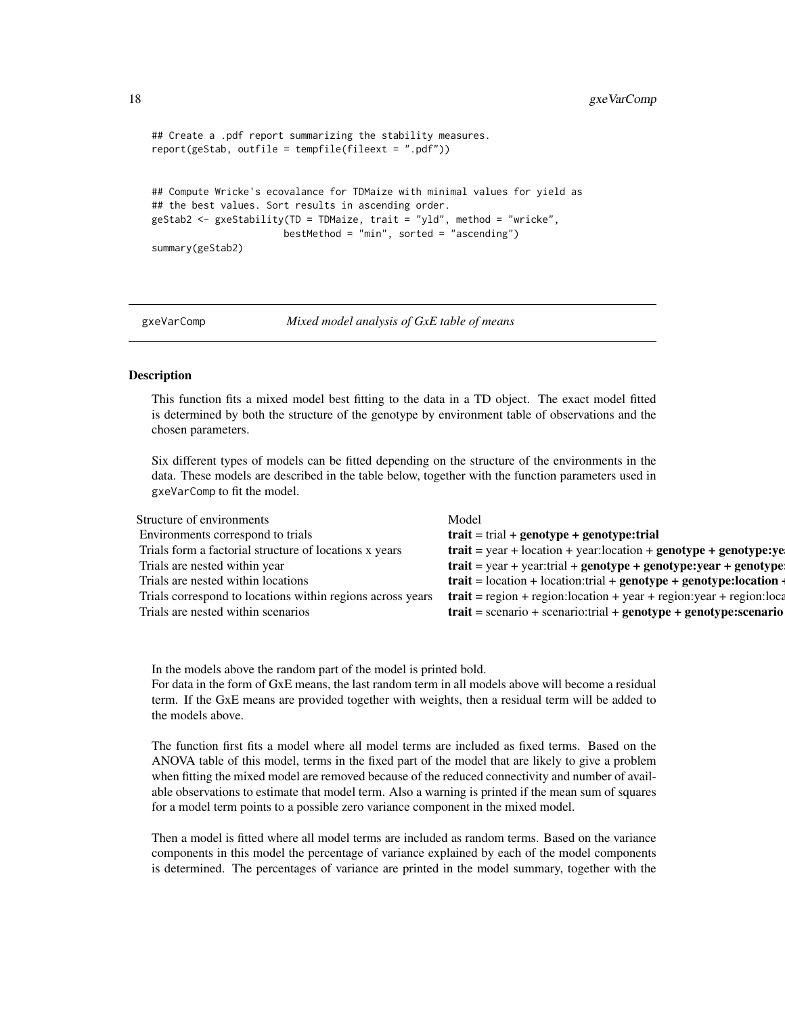```
## Create a .pdf report summarizing the stability measures.
report(geStab, outfile = tempfile(fileext = ".pdf"))
## Compute Wricke's ecovalance for TDMaize with minimal values for yield as
## the best values. Sort results in ascending order.
geStab2 <- gxeStability(TD = TDMaize, trait = "yld", method = "wricke",
                      bestMethod = "min", sorted = "ascending")
summary(geStab2)
```
<span id="page-17-1"></span>

gxeVarComp *Mixed model analysis of GxE table of means*

#### Description

This function fits a mixed model best fitting to the data in a TD object. The exact model fitted is determined by both the structure of the genotype by environment table of observations and the chosen parameters.

Six different types of models can be fitted depending on the structure of the environments in the data. These models are described in the table below, together with the function parameters used in gxeVarComp to fit the model.

| Structure of environments                                  | Model                                                                                                                                    |
|------------------------------------------------------------|------------------------------------------------------------------------------------------------------------------------------------------|
| Environments correspond to trials                          | $\mathbf{train} = \text{trial} + \text{genotype} + \text{genotype}:\mathbf{trial}$                                                       |
| Trials form a factorial structure of locations x years     | $\text{trait} = \text{year} + \text{location} + \text{year} \cdot \text{location} + \text{genotype} + \text{genotype} \cdot \text{year}$ |
| Trials are nested within year                              | $\text{train} = \text{year} + \text{year}$ :trial + genotype + genotype:year + genotype                                                  |
| Trials are nested within locations                         | $\text{train} = \text{location} + \text{location:trial} + \text{genotype} + \text{genotype:location}$                                    |
| Trials correspond to locations within regions across years | $\text{trait} = \text{region} + \text{region}:\text{location} + \text{year} + \text{region}:\text{year} + \text{region}:\text{locz}$     |
| Trials are nested within scenarios                         | $\text{train} = \text{scenario} + \text{scenario: trial} + \text{genotype} + \text{genotype:scenario}$                                   |

In the models above the random part of the model is printed bold. For data in the form of GxE means, the last random term in all models above will become a residual term. If the GxE means are provided together with weights, then a residual term will be added to the models above.

The function first fits a model where all model terms are included as fixed terms. Based on the ANOVA table of this model, terms in the fixed part of the model that are likely to give a problem when fitting the mixed model are removed because of the reduced connectivity and number of available observations to estimate that model term. Also a warning is printed if the mean sum of squares for a model term points to a possible zero variance component in the mixed model.

Then a model is fitted where all model terms are included as random terms. Based on the variance components in this model the percentage of variance explained by each of the model components is determined. The percentages of variance are printed in the model summary, together with the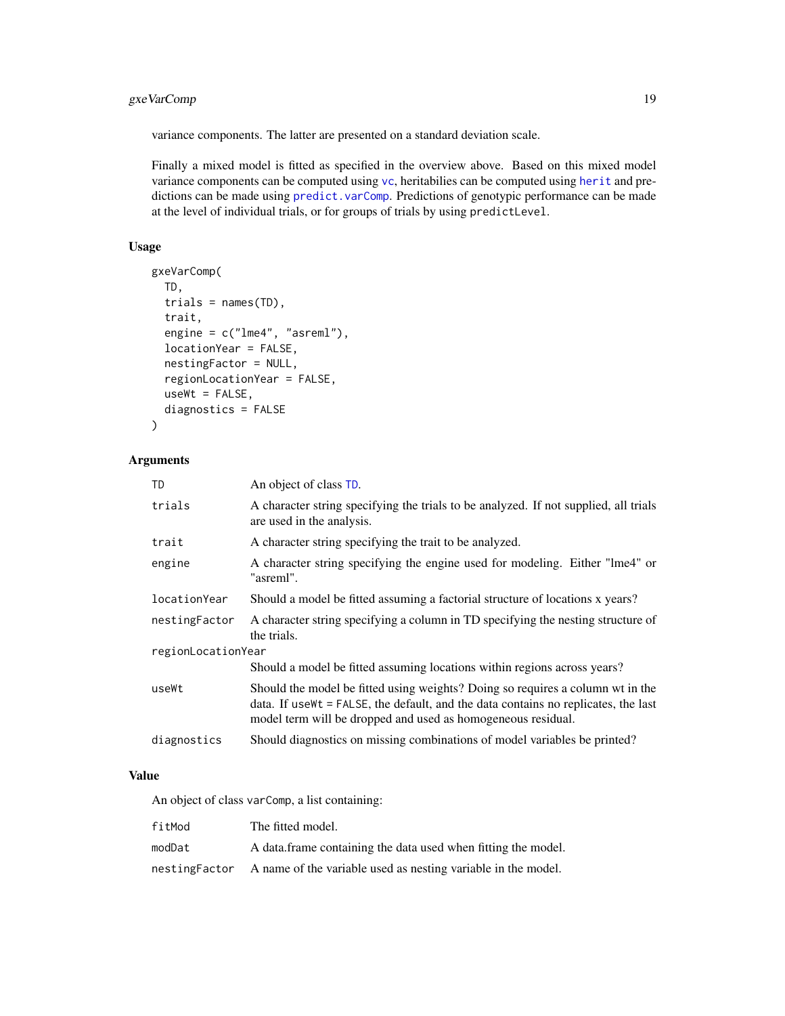## <span id="page-18-0"></span>gxeVarComp 19

variance components. The latter are presented on a standard deviation scale.

Finally a mixed model is fitted as specified in the overview above. Based on this mixed model variance components can be computed using [vc](#page-41-1), [herit](#page-21-1)abilies can be computed using herit and predictions can be made using [predict.varComp](#page-33-1). Predictions of genotypic performance can be made at the level of individual trials, or for groups of trials by using predictLevel.

## Usage

```
gxeVarComp(
  TD,
  trials = names(TD),
  trait,
  engine = c("lme4", "asreml"),
  locationYear = FALSE,
  nestingFactor = NULL,
  regionLocationYear = FALSE,
  useWt = FALSE,
  diagnostics = FALSE
\lambda
```
#### Arguments

| <b>TD</b>          | An object of class TD.                                                                                                                                                                                                                |  |
|--------------------|---------------------------------------------------------------------------------------------------------------------------------------------------------------------------------------------------------------------------------------|--|
| trials             | A character string specifying the trials to be analyzed. If not supplied, all trials<br>are used in the analysis.                                                                                                                     |  |
| trait              | A character string specifying the trait to be analyzed.                                                                                                                                                                               |  |
| engine             | A character string specifying the engine used for modeling. Either "lme4" or<br>"asreml".                                                                                                                                             |  |
| locationYear       | Should a model be fitted assuming a factorial structure of locations x years?                                                                                                                                                         |  |
| nestingFactor      | A character string specifying a column in TD specifying the nesting structure of<br>the trials.                                                                                                                                       |  |
| regionLocationYear |                                                                                                                                                                                                                                       |  |
|                    | Should a model be fitted assuming locations within regions across years?                                                                                                                                                              |  |
| useWt              | Should the model be fitted using weights? Doing so requires a column wt in the<br>data. If use Wt = FALSE, the default, and the data contains no replicates, the last<br>model term will be dropped and used as homogeneous residual. |  |
| diagnostics        | Should diagnostics on missing combinations of model variables be printed?                                                                                                                                                             |  |

## Value

An object of class varComp, a list containing:

| fitMod        | The fitted model.                                             |
|---------------|---------------------------------------------------------------|
| modDat        | A data frame containing the data used when fitting the model. |
| nestingFactor | A name of the variable used as nesting variable in the model. |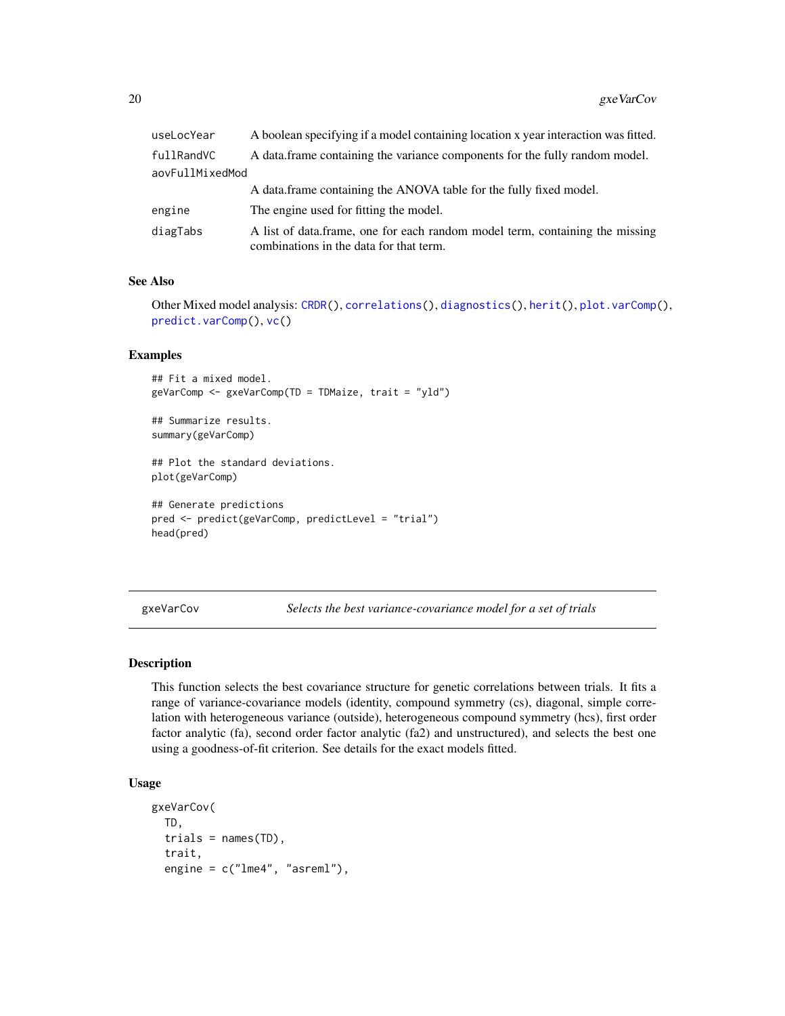<span id="page-19-0"></span>

| useLocYear      | A boolean specifying if a model containing location x year interaction was fitted.                                      |  |
|-----------------|-------------------------------------------------------------------------------------------------------------------------|--|
| fullRandVC      | A data frame containing the variance components for the fully random model.                                             |  |
| aovFullMixedMod |                                                                                                                         |  |
|                 | A data frame containing the ANOVA table for the fully fixed model.                                                      |  |
| engine          | The engine used for fitting the model.                                                                                  |  |
| diagTabs        | A list of data.frame, one for each random model term, containing the missing<br>combinations in the data for that term. |  |

#### See Also

Other Mixed model analysis: [CRDR\(](#page-3-1)), [correlations\(](#page-2-1)), [diagnostics\(](#page-4-1)), [herit\(](#page-21-1)), [plot.varComp\(](#page-30-1)), [predict.varComp\(](#page-33-1)), [vc\(](#page-41-1))

#### Examples

## Fit a mixed model. geVarComp <- gxeVarComp(TD = TDMaize, trait = "yld")

## Summarize results. summary(geVarComp)

## Plot the standard deviations. plot(geVarComp)

```
## Generate predictions
pred <- predict(geVarComp, predictLevel = "trial")
head(pred)
```
<span id="page-19-1"></span>gxeVarCov *Selects the best variance-covariance model for a set of trials*

## Description

This function selects the best covariance structure for genetic correlations between trials. It fits a range of variance-covariance models (identity, compound symmetry (cs), diagonal, simple correlation with heterogeneous variance (outside), heterogeneous compound symmetry (hcs), first order factor analytic (fa), second order factor analytic (fa2) and unstructured), and selects the best one using a goodness-of-fit criterion. See details for the exact models fitted.

## Usage

```
gxeVarCov(
  TD,
  trials = names(TD),
  trait,
  engine = c("1me4", "asrem1"),
```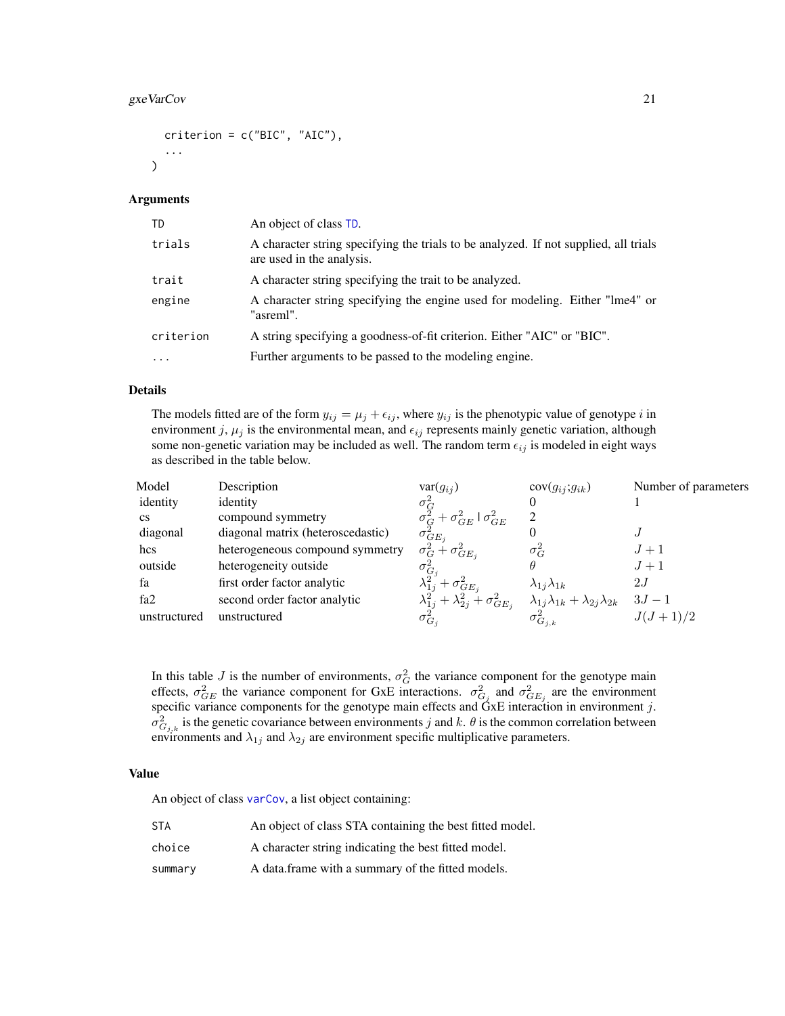## <span id="page-20-0"></span>gxeVarCov 21

```
criterion = c("BIC", "AIC"),
...
```
#### Arguments

 $\lambda$ 

| TD                | An object of class TD.                                                                                            |
|-------------------|-------------------------------------------------------------------------------------------------------------------|
| trials            | A character string specifying the trials to be analyzed. If not supplied, all trials<br>are used in the analysis. |
| trait             | A character string specifying the trait to be analyzed.                                                           |
| engine            | A character string specifying the engine used for modeling. Either "lme4" or<br>"asreml".                         |
| criterion         | A string specifying a goodness-of-fit criterion. Either "AIC" or "BIC".                                           |
| $\cdot\cdot\cdot$ | Further arguments to be passed to the modeling engine.                                                            |

## Details

The models fitted are of the form  $y_{ij} = \mu_j + \epsilon_{ij}$ , where  $y_{ij}$  is the phenotypic value of genotype i in environment j,  $\mu_j$  is the environmental mean, and  $\epsilon_{ij}$  represents mainly genetic variation, although some non-genetic variation may be included as well. The random term  $\epsilon_{ij}$  is modeled in eight ways as described in the table below.

| Model                  | Description                       | $var(g_{ii})$                                                                                               | $cov(g_{ij};g_{ik})$                                  | Number of parameters |
|------------------------|-----------------------------------|-------------------------------------------------------------------------------------------------------------|-------------------------------------------------------|----------------------|
| identity               | identity                          |                                                                                                             |                                                       |                      |
| $\mathbf{c}\mathbf{s}$ | compound symmetry                 |                                                                                                             | 2                                                     |                      |
| diagonal               | diagonal matrix (heteroscedastic) | $\begin{array}{l} \sigma_G^2 \ \sigma_G^2 + \sigma_{GE}^2 \mid \sigma_{GE}^2 \ \sigma_{GE_j}^2 \end{array}$ |                                                       |                      |
| hcs                    | heterogeneous compound symmetry   | $\sigma_G^2 + \sigma_{GE_i}^2$                                                                              | $\sigma_G^2$                                          | $J+1$                |
| outside                | heterogeneity outside             | $\sigma_{G_i}^2$                                                                                            |                                                       | $J+1$                |
| fa                     | first order factor analytic       | $\frac{\lambda_{1j}^2+\sigma_{GE_j}^2}{\lambda_{1j}^2+\lambda_{2j}^2+\sigma_{GE_j}^2}$                      | $\lambda_{1j}\lambda_{1k}$                            | 2J                   |
| fa <sub>2</sub>        | second order factor analytic      |                                                                                                             | $\lambda_{1j}\lambda_{1k} + \lambda_{2j}\lambda_{2k}$ | $3J - 1$             |
| unstructured           | unstructured                      | $\sigma_{G_i}^2$                                                                                            | $\sigma^2_{G_{j,k}}$                                  | $J(J+1)/2$           |

In this table J is the number of environments,  $\sigma_G^2$  the variance component for the genotype main effects,  $\sigma_{GE}^2$  the variance component for GxE interactions.  $\sigma_{G_j}^2$  and  $\sigma_{GE_j}^2$  are the environment specific variance components for the genotype main effects and  $\overline{G}xE$  interaction in environment j.  $\sigma_{G_{j,k}}^2$  is the genetic covariance between environments j and k.  $\theta$  is the common correlation between environments and  $\lambda_{1j}$  and  $\lambda_{2j}$  are environment specific multiplicative parameters.

#### Value

An object of class [varCov](#page-0-0), a list object containing:

| <b>STA</b> | An object of class STA containing the best fitted model. |
|------------|----------------------------------------------------------|
| choice     | A character string indicating the best fitted model.     |
| summary    | A data.frame with a summary of the fitted models.        |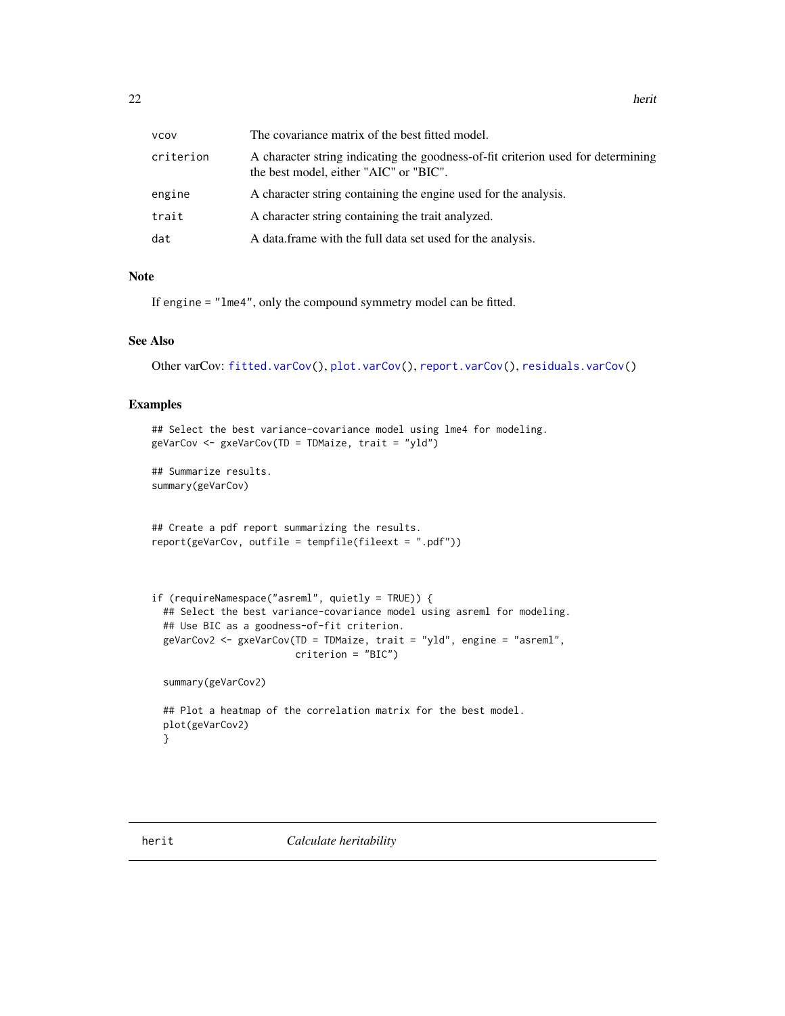<span id="page-21-0"></span>

| <b>VCOV</b> | The covariance matrix of the best fitted model.                                                                            |
|-------------|----------------------------------------------------------------------------------------------------------------------------|
| criterion   | A character string indicating the goodness-of-fit criterion used for determining<br>the best model, either "AIC" or "BIC". |
| engine      | A character string containing the engine used for the analysis.                                                            |
| trait       | A character string containing the trait analyzed.                                                                          |
| dat         | A data frame with the full data set used for the analysis.                                                                 |

## Note

If engine = "lme4", only the compound symmetry model can be fitted.

#### See Also

Other varCov: [fitted.varCov\(](#page-7-2)), [plot.varCov\(](#page-31-1)), [report.varCov\(](#page-37-1)), [residuals.varCov\(](#page-39-1))

#### Examples

```
## Select the best variance-covariance model using lme4 for modeling.
geVarCov <- gxeVarCov(TD = TDMaize, trait = "yld")
```
## Summarize results. summary(geVarCov)

```
## Create a pdf report summarizing the results.
report(geVarCov, outfile = tempfile(fileext = ".pdf"))
```

```
if (requireNamespace("asreml", quietly = TRUE)) {
 ## Select the best variance-covariance model using asreml for modeling.
 ## Use BIC as a goodness-of-fit criterion.
 geVarCov2 <- gxeVarCov(TD = TDMaize, trait = "yld", engine = "asreml",
                        criterion = "BIC")
```
summary(geVarCov2)

```
## Plot a heatmap of the correlation matrix for the best model.
plot(geVarCov2)
}
```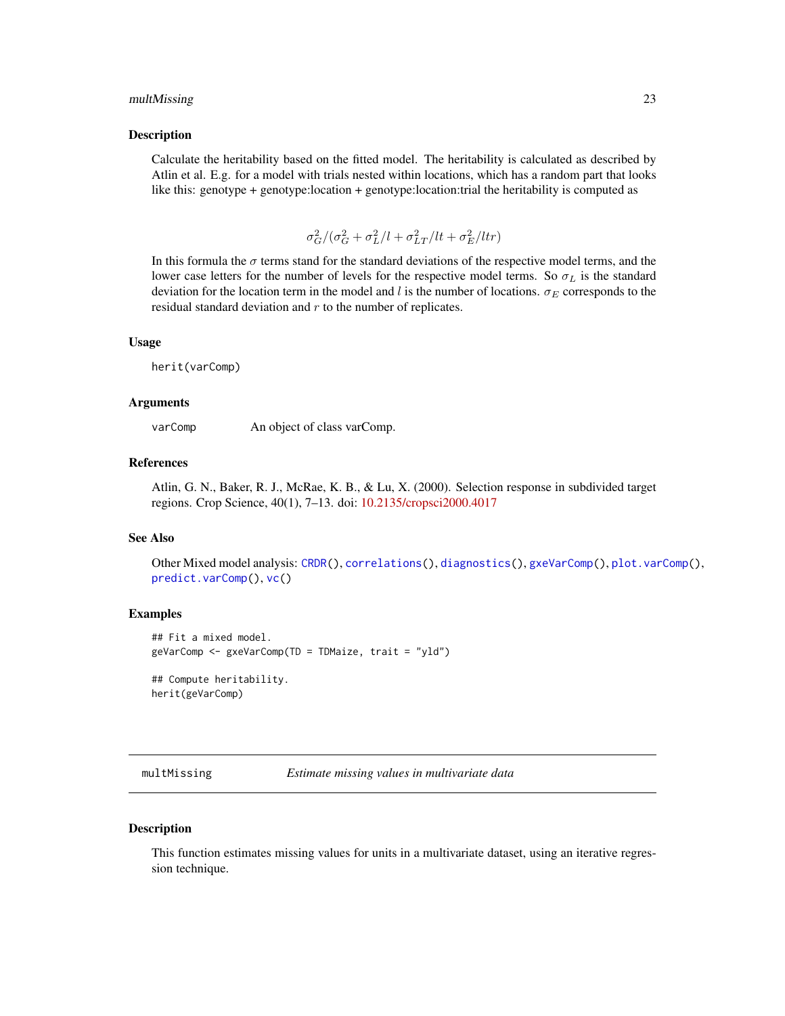#### <span id="page-22-0"></span>multMissing 23

#### Description

Calculate the heritability based on the fitted model. The heritability is calculated as described by Atlin et al. E.g. for a model with trials nested within locations, which has a random part that looks like this: genotype + genotype:location + genotype:location:trial the heritability is computed as

$$
\sigma_G^2/(\sigma_G^2 + \sigma_L^2/l + \sigma_{LT}^2/lt + \sigma_E^2/ltr)
$$

In this formula the  $\sigma$  terms stand for the standard deviations of the respective model terms, and the lower case letters for the number of levels for the respective model terms. So  $\sigma_L$  is the standard deviation for the location term in the model and l is the number of locations.  $\sigma_E$  corresponds to the residual standard deviation and  $r$  to the number of replicates.

#### Usage

herit(varComp)

#### Arguments

varComp An object of class varComp.

#### References

Atlin, G. N., Baker, R. J., McRae, K. B., & Lu, X. (2000). Selection response in subdivided target regions. Crop Science, 40(1), 7–13. doi: [10.2135/cropsci2000.4017](https://doi.org/10.2135/cropsci2000.4017)

#### See Also

Other Mixed model analysis: [CRDR\(](#page-3-1)), [correlations\(](#page-2-1)), [diagnostics\(](#page-4-1)), [gxeVarComp\(](#page-17-1)), [plot.varComp\(](#page-30-1)), [predict.varComp\(](#page-33-1)), [vc\(](#page-41-1))

## Examples

```
## Fit a mixed model.
geVarComp <- gxeVarComp(TD = TDMaize, trait = "yld")
```
## Compute heritability. herit(geVarComp)

multMissing *Estimate missing values in multivariate data*

## Description

This function estimates missing values for units in a multivariate dataset, using an iterative regression technique.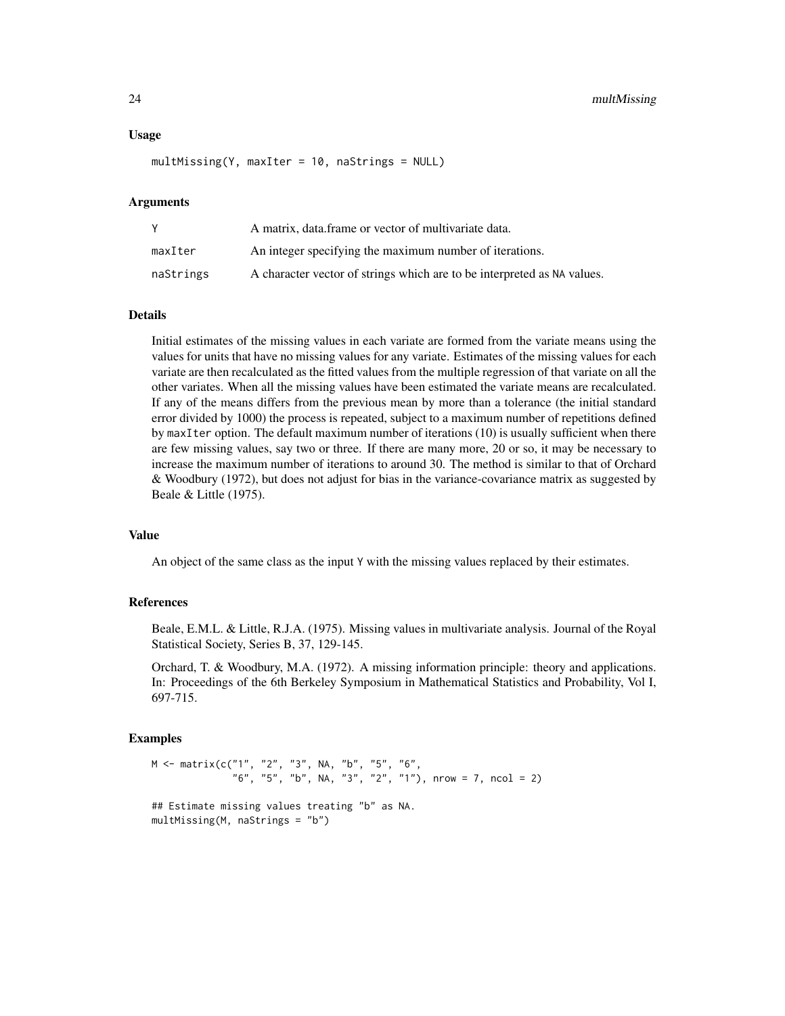#### Usage

multMissing(Y, maxIter = 10, naStrings = NULL)

#### Arguments

|           | A matrix, data frame or vector of multivariate data.                    |
|-----------|-------------------------------------------------------------------------|
| maxIter   | An integer specifying the maximum number of iterations.                 |
| naStrings | A character vector of strings which are to be interpreted as NA values. |

#### Details

Initial estimates of the missing values in each variate are formed from the variate means using the values for units that have no missing values for any variate. Estimates of the missing values for each variate are then recalculated as the fitted values from the multiple regression of that variate on all the other variates. When all the missing values have been estimated the variate means are recalculated. If any of the means differs from the previous mean by more than a tolerance (the initial standard error divided by 1000) the process is repeated, subject to a maximum number of repetitions defined by maxIter option. The default maximum number of iterations (10) is usually sufficient when there are few missing values, say two or three. If there are many more, 20 or so, it may be necessary to increase the maximum number of iterations to around 30. The method is similar to that of Orchard & Woodbury (1972), but does not adjust for bias in the variance-covariance matrix as suggested by Beale & Little (1975).

## Value

An object of the same class as the input Y with the missing values replaced by their estimates.

#### References

Beale, E.M.L. & Little, R.J.A. (1975). Missing values in multivariate analysis. Journal of the Royal Statistical Society, Series B, 37, 129-145.

Orchard, T. & Woodbury, M.A. (1972). A missing information principle: theory and applications. In: Proceedings of the 6th Berkeley Symposium in Mathematical Statistics and Probability, Vol I, 697-715.

```
M <- matrix(c("1", "2", "3", NA, "b", "5", "6",
              "6", "5", "b", NA, "3", "2", "1"), nrow = 7, ncol = 2)
```

```
## Estimate missing values treating "b" as NA.
multMissing(M, naStrings = "b")
```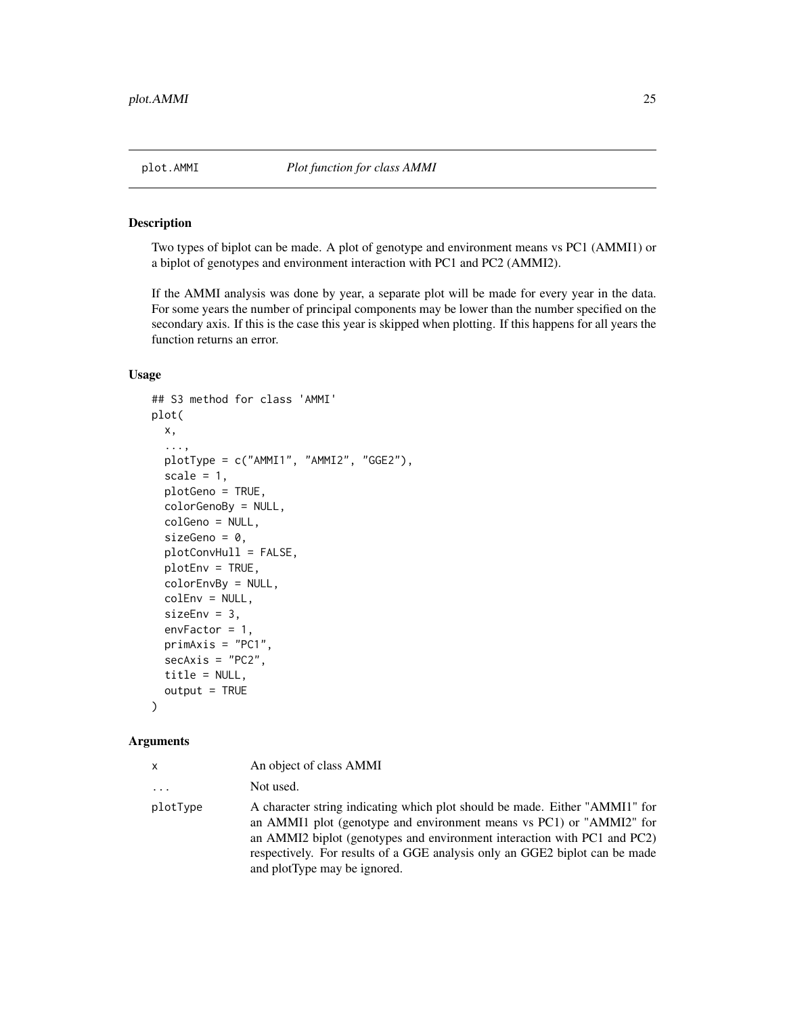<span id="page-24-1"></span><span id="page-24-0"></span>

Two types of biplot can be made. A plot of genotype and environment means vs PC1 (AMMI1) or a biplot of genotypes and environment interaction with PC1 and PC2 (AMMI2).

If the AMMI analysis was done by year, a separate plot will be made for every year in the data. For some years the number of principal components may be lower than the number specified on the secondary axis. If this is the case this year is skipped when plotting. If this happens for all years the function returns an error.

#### Usage

```
## S3 method for class 'AMMI'
plot(
  x,
  ...,
  plotType = c("AMMI1", "AMMI2", "GGE2"),
  scale = 1,
  plotGeno = TRUE,
  colorGenoBy = NULL,
  colGeno = NULL,
  sizeGeno = \theta,
 plotConvHull = FALSE,
 plotEnv = TRUE,
  colorEnvBy = NULL,
  colEnv = NULL,
  sizeEnv = 3,
  envFactor = 1,
  primAxis = "PC1",
  secAxis = "PC2",title = NULL,
  output = TRUE)
```
#### Arguments

| <b>X</b>                | An object of class AMMI                                                                                                                                                                                                                                                                                                                        |
|-------------------------|------------------------------------------------------------------------------------------------------------------------------------------------------------------------------------------------------------------------------------------------------------------------------------------------------------------------------------------------|
| $\cdot$ $\cdot$ $\cdot$ | Not used.                                                                                                                                                                                                                                                                                                                                      |
| plotType                | A character string indicating which plot should be made. Either "AMMI1" for<br>an AMMI1 plot (genotype and environment means vs PC1) or "AMMI2" for<br>an AMMI2 biplot (genotypes and environment interaction with PC1 and PC2)<br>respectively. For results of a GGE analysis only an GGE2 biplot can be made<br>and plotType may be ignored. |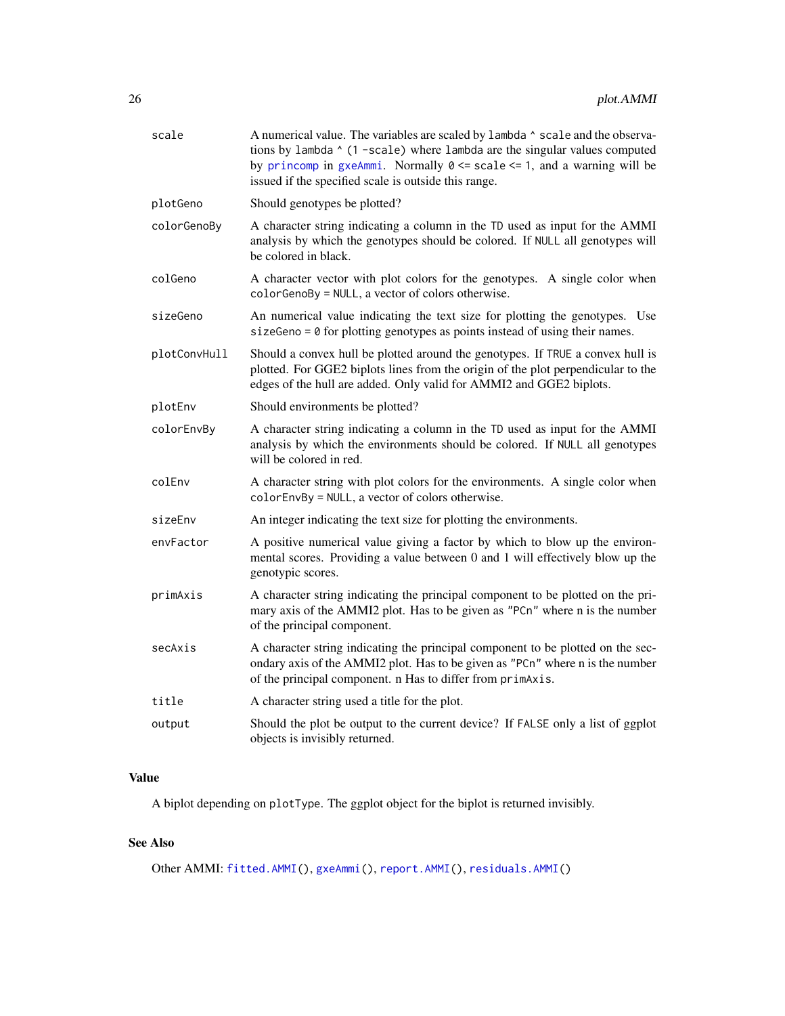<span id="page-25-0"></span>

| scale        | A numerical value. The variables are scaled by lambda ^ scale and the observa-<br>tions by lambda ^ (1 -scale) where lambda are the singular values computed<br>by princomp in gxeAmmi. Normally $0 \le$ scale $\le$ 1, and a warning will be<br>issued if the specified scale is outside this range. |
|--------------|-------------------------------------------------------------------------------------------------------------------------------------------------------------------------------------------------------------------------------------------------------------------------------------------------------|
| plotGeno     | Should genotypes be plotted?                                                                                                                                                                                                                                                                          |
| colorGenoBy  | A character string indicating a column in the TD used as input for the AMMI<br>analysis by which the genotypes should be colored. If NULL all genotypes will<br>be colored in black.                                                                                                                  |
| colGeno      | A character vector with plot colors for the genotypes. A single color when<br>colorGenoBy = NULL, a vector of colors otherwise.                                                                                                                                                                       |
| sizeGeno     | An numerical value indicating the text size for plotting the genotypes. Use<br>sizeGeno = $\theta$ for plotting genotypes as points instead of using their names.                                                                                                                                     |
| plotConvHull | Should a convex hull be plotted around the genotypes. If TRUE a convex hull is<br>plotted. For GGE2 biplots lines from the origin of the plot perpendicular to the<br>edges of the hull are added. Only valid for AMMI2 and GGE2 biplots.                                                             |
| plotEnv      | Should environments be plotted?                                                                                                                                                                                                                                                                       |
| colorEnvBy   | A character string indicating a column in the TD used as input for the AMMI<br>analysis by which the environments should be colored. If NULL all genotypes<br>will be colored in red.                                                                                                                 |
| colEnv       | A character string with plot colors for the environments. A single color when<br>colorEnvBy = NULL, a vector of colors otherwise.                                                                                                                                                                     |
| sizeEnv      | An integer indicating the text size for plotting the environments.                                                                                                                                                                                                                                    |
| envFactor    | A positive numerical value giving a factor by which to blow up the environ-<br>mental scores. Providing a value between 0 and 1 will effectively blow up the<br>genotypic scores.                                                                                                                     |
| primAxis     | A character string indicating the principal component to be plotted on the pri-<br>mary axis of the AMMI2 plot. Has to be given as "PCn" where n is the number<br>of the principal component.                                                                                                         |
| secAxis      | A character string indicating the principal component to be plotted on the sec-<br>ondary axis of the AMMI2 plot. Has to be given as "PCn" where n is the number<br>of the principal component. n Has to differ from primaxis.                                                                        |
| title        | A character string used a title for the plot.                                                                                                                                                                                                                                                         |
| output       | Should the plot be output to the current device? If FALSE only a list of ggplot<br>objects is invisibly returned.                                                                                                                                                                                     |
|              |                                                                                                                                                                                                                                                                                                       |

## Value

A biplot depending on plotType. The ggplot object for the biplot is returned invisibly.

## See Also

Other AMMI: [fitted.AMMI\(](#page-6-1)), [gxeAmmi\(](#page-8-1)), [report.AMMI\(](#page-34-1)), [residuals.AMMI\(](#page-38-1))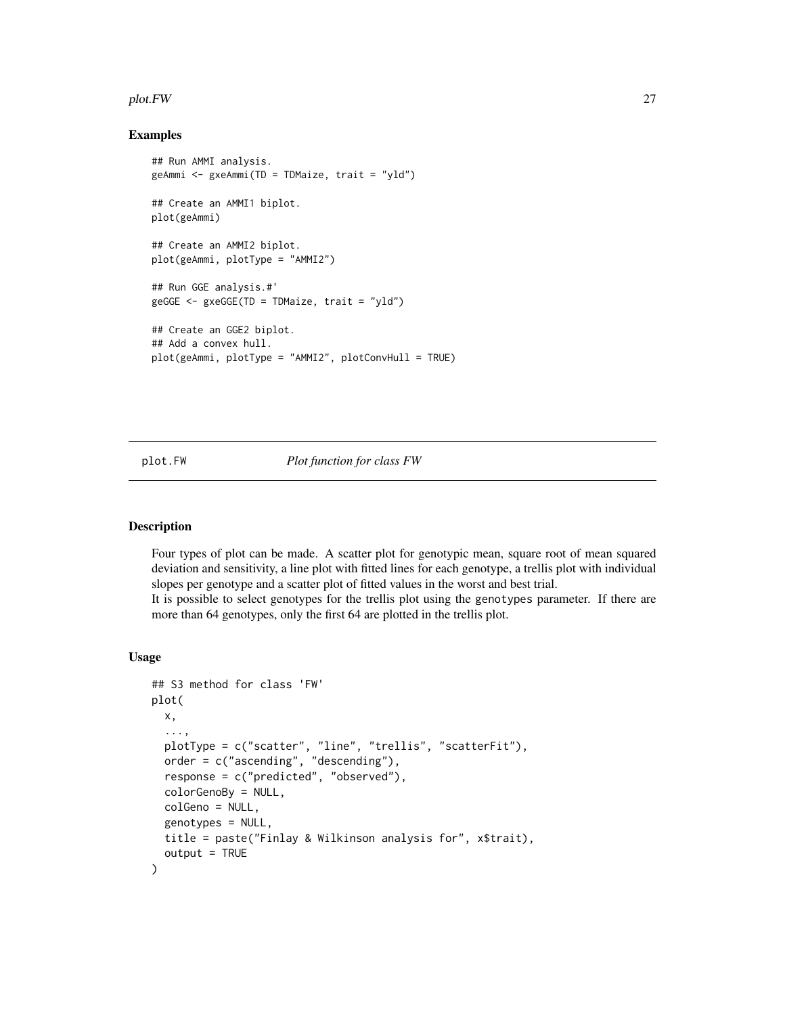#### <span id="page-26-0"></span>plot.FW 27

#### Examples

```
## Run AMMI analysis.
geAmmi <- gxeAmmi(TD = TDMaize, trait = "yld")
## Create an AMMI1 biplot.
plot(geAmmi)
## Create an AMMI2 biplot.
plot(geAmmi, plotType = "AMMI2")
## Run GGE analysis.#'
geGGE <- gxeGGE(TD = TDMaize, trait = "yld")
## Create an GGE2 biplot.
## Add a convex hull.
plot(geAmmi, plotType = "AMMI2", plotConvHull = TRUE)
```
#### <span id="page-26-1"></span>plot.FW *Plot function for class FW*

#### Description

Four types of plot can be made. A scatter plot for genotypic mean, square root of mean squared deviation and sensitivity, a line plot with fitted lines for each genotype, a trellis plot with individual slopes per genotype and a scatter plot of fitted values in the worst and best trial.

It is possible to select genotypes for the trellis plot using the genotypes parameter. If there are more than 64 genotypes, only the first 64 are plotted in the trellis plot.

## Usage

```
## S3 method for class 'FW'
plot(
  x,
  ...,
  plotType = c("scatter", "line", "trellis", "scatterFit"),
  order = c("ascending", "descending"),
  response = c("predicted", "observed"),
  colorGenoBy = NULL,
  colGeno = NULL,
  genotypes = NULL,
  title = paste("Finlay & Wilkinson analysis for", x$trait),
  output = TRUE)
```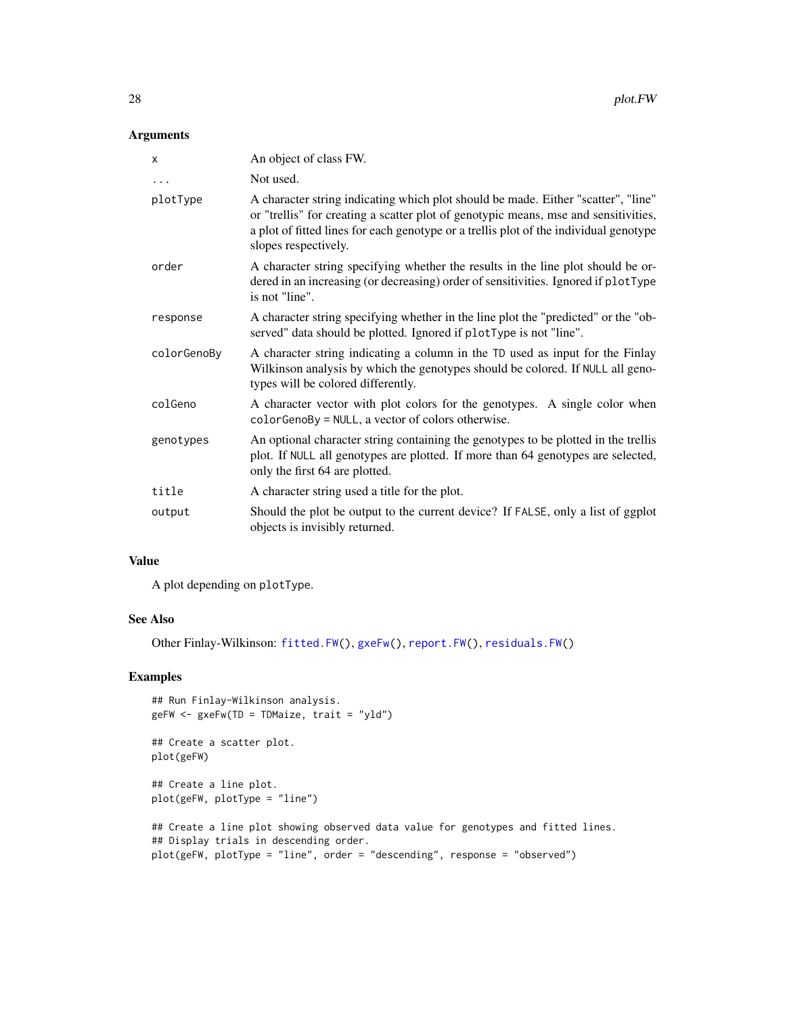## <span id="page-27-0"></span>Arguments

| X           | An object of class FW.                                                                                                                                                                                                                                                                    |
|-------------|-------------------------------------------------------------------------------------------------------------------------------------------------------------------------------------------------------------------------------------------------------------------------------------------|
| $\cdots$    | Not used.                                                                                                                                                                                                                                                                                 |
| plotType    | A character string indicating which plot should be made. Either "scatter", "line"<br>or "trellis" for creating a scatter plot of genotypic means, mse and sensitivities,<br>a plot of fitted lines for each genotype or a trellis plot of the individual genotype<br>slopes respectively. |
| order       | A character string specifying whether the results in the line plot should be or-<br>dered in an increasing (or decreasing) order of sensitivities. Ignored if plotType<br>is not "line".                                                                                                  |
| response    | A character string specifying whether in the line plot the "predicted" or the "ob-<br>served" data should be plotted. Ignored if plotType is not "line".                                                                                                                                  |
| colorGenoBy | A character string indicating a column in the TD used as input for the Finlay<br>Wilkinson analysis by which the genotypes should be colored. If NULL all geno-<br>types will be colored differently.                                                                                     |
| colGeno     | A character vector with plot colors for the genotypes. A single color when<br>$colorGenoBy = NULL$ , a vector of colors otherwise.                                                                                                                                                        |
| genotypes   | An optional character string containing the genotypes to be plotted in the trellis<br>plot. If NULL all genotypes are plotted. If more than 64 genotypes are selected,<br>only the first 64 are plotted.                                                                                  |
| title       | A character string used a title for the plot.                                                                                                                                                                                                                                             |
| output      | Should the plot be output to the current device? If FALSE, only a list of ggplot<br>objects is invisibly returned.                                                                                                                                                                        |

## Value

A plot depending on plotType.

#### See Also

Other Finlay-Wilkinson: [fitted.FW\(](#page-7-1)), [gxeFw\(](#page-10-1)), [report.FW\(](#page-35-1)), [residuals.FW\(](#page-38-2))

## Examples

```
## Run Finlay-Wilkinson analysis.
geFW <- gxeFw(TD = TDMaize, trait = "yld")
```

```
## Create a scatter plot.
plot(geFW)
```
## Create a line plot. plot(geFW, plotType = "line")

```
## Create a line plot showing observed data value for genotypes and fitted lines.
## Display trials in descending order.
plot(geFW, plotType = "line", order = "descending", response = "observed")
```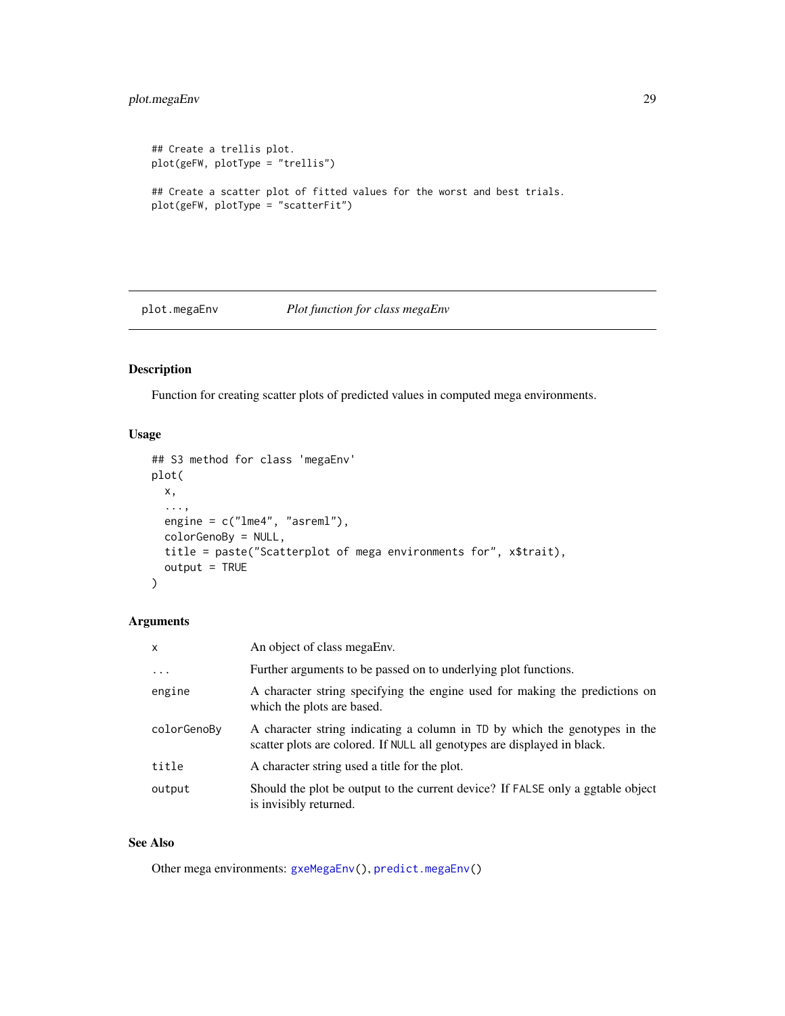## <span id="page-28-0"></span>plot.megaEnv 29

```
## Create a trellis plot.
plot(geFW, plotType = "trellis")
## Create a scatter plot of fitted values for the worst and best trials.
plot(geFW, plotType = "scatterFit")
```
<span id="page-28-1"></span>plot.megaEnv *Plot function for class megaEnv*

## Description

Function for creating scatter plots of predicted values in computed mega environments.

## Usage

```
## S3 method for class 'megaEnv'
plot(
 x,
  ...,
 engine = c("lme4", "asreml"),
 colorGenoBy = NULL,
 title = paste("Scatterplot of mega environments for", x$trait),
 output = TRUE)
```
## Arguments

| $\mathsf{x}$ | An object of class megaEnv.                                                                                                                            |
|--------------|--------------------------------------------------------------------------------------------------------------------------------------------------------|
| $\cdot$      | Further arguments to be passed on to underlying plot functions.                                                                                        |
| engine       | A character string specifying the engine used for making the predictions on<br>which the plots are based.                                              |
| colorGenoBy  | A character string indicating a column in TD by which the genotypes in the<br>scatter plots are colored. If NULL all genotypes are displayed in black. |
| title        | A character string used a title for the plot.                                                                                                          |
| output       | Should the plot be output to the current device? If FALSE only a ggtable object<br>is invisibly returned.                                              |

## See Also

Other mega environments: [gxeMegaEnv\(](#page-14-1)), [predict.megaEnv\(](#page-32-1))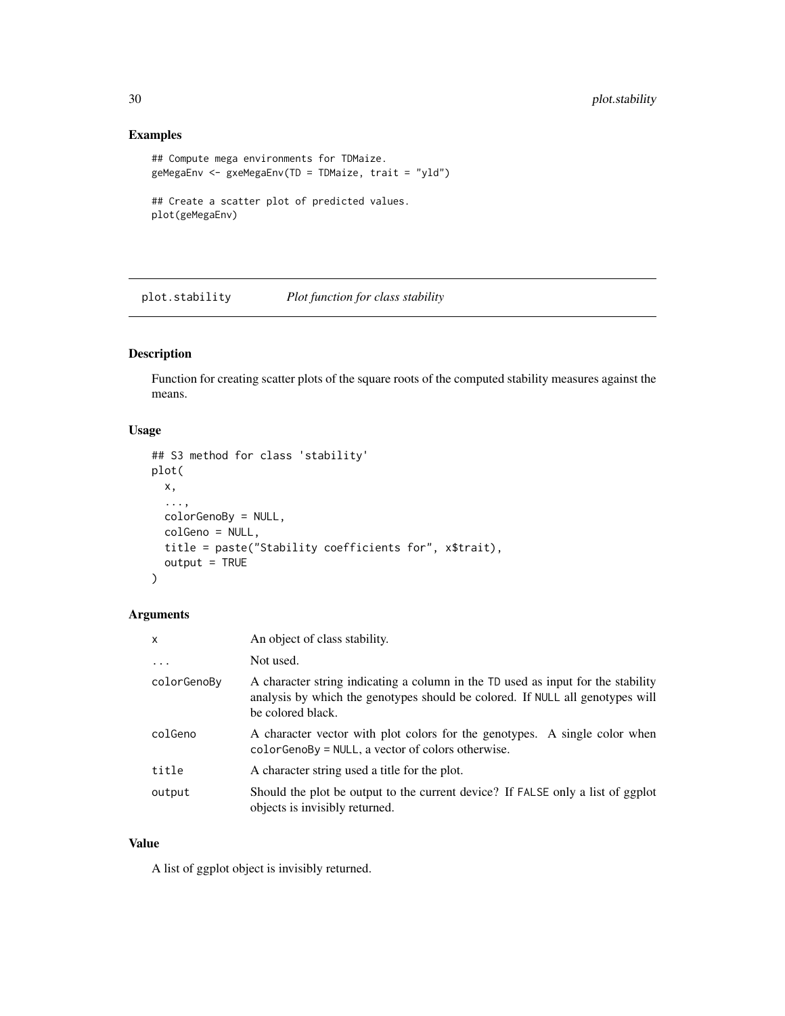## Examples

```
## Compute mega environments for TDMaize.
geMegaEnv <- gxeMegaEnv(TD = TDMaize, trait = "yld")
## Create a scatter plot of predicted values.
plot(geMegaEnv)
```
<span id="page-29-1"></span>plot.stability *Plot function for class stability*

## Description

Function for creating scatter plots of the square roots of the computed stability measures against the means.

## Usage

```
## S3 method for class 'stability'
plot(
 x,
  ...,
 colorGenoBy = NULL,
 colGeno = NULL,
 title = paste("Stability coefficients for", x$trait),
 output = TRUE)
```
## Arguments

| X           | An object of class stability.                                                                                                                                                          |
|-------------|----------------------------------------------------------------------------------------------------------------------------------------------------------------------------------------|
| $\ddots$ .  | Not used.                                                                                                                                                                              |
| colorGenoBy | A character string indicating a column in the TD used as input for the stability<br>analysis by which the genotypes should be colored. If NULL all genotypes will<br>be colored black. |
| colGeno     | A character vector with plot colors for the genotypes. A single color when<br>$colorGenoBy = NULL$ , a vector of colors otherwise.                                                     |
| title       | A character string used a title for the plot.                                                                                                                                          |
| output      | Should the plot be output to the current device? If FALSE only a list of ggplot<br>objects is invisibly returned.                                                                      |

#### Value

A list of ggplot object is invisibly returned.

<span id="page-29-0"></span>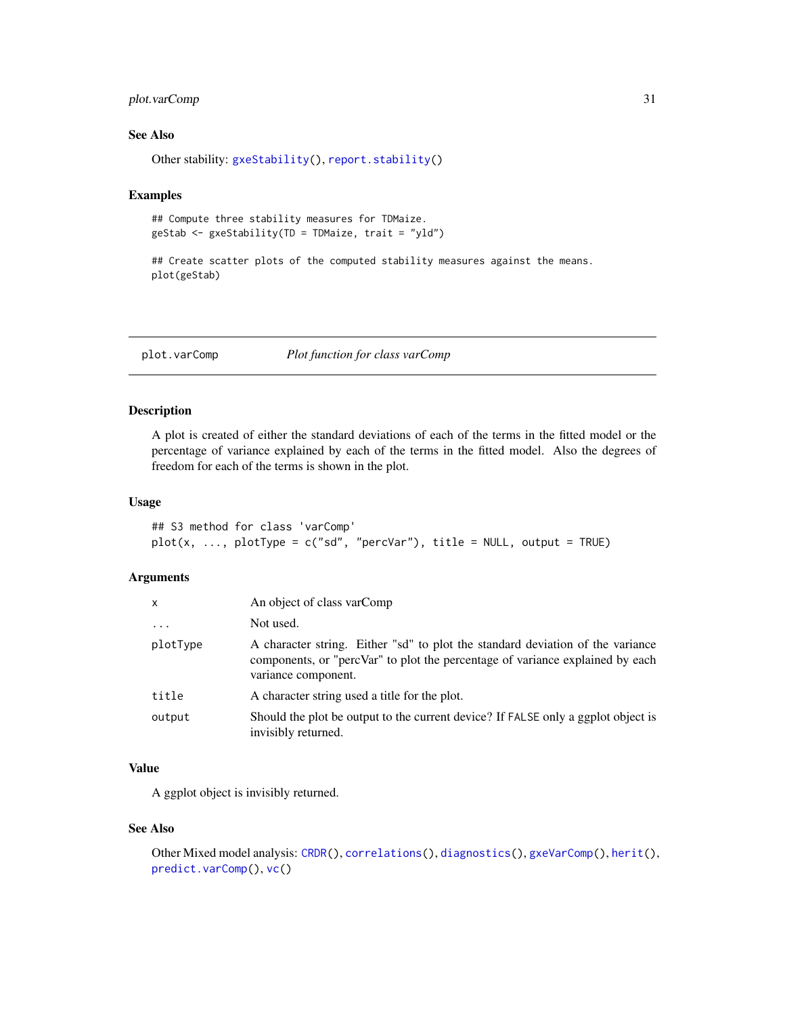## <span id="page-30-0"></span>plot.varComp 31

## See Also

Other stability: [gxeStability\(](#page-15-1)), [report.stability\(](#page-36-1))

#### Examples

```
## Compute three stability measures for TDMaize.
geStab <- gxeStability(TD = TDMaize, trait = "yld")
```

```
## Create scatter plots of the computed stability measures against the means.
plot(geStab)
```
<span id="page-30-1"></span>plot.varComp *Plot function for class varComp*

## Description

A plot is created of either the standard deviations of each of the terms in the fitted model or the percentage of variance explained by each of the terms in the fitted model. Also the degrees of freedom for each of the terms is shown in the plot.

## Usage

```
## S3 method for class 'varComp'
plot(x, ..., plotType = c("sd", "percVar"), title = NULL, output = TRUE)
```
## Arguments

| x        | An object of class varComp                                                                                                                                                             |
|----------|----------------------------------------------------------------------------------------------------------------------------------------------------------------------------------------|
| $\cdots$ | Not used.                                                                                                                                                                              |
| plotType | A character string. Either "sd" to plot the standard deviation of the variance<br>components, or "percVar" to plot the percentage of variance explained by each<br>variance component. |
| title    | A character string used a title for the plot.                                                                                                                                          |
| output   | Should the plot be output to the current device? If FALSE only a ggplot object is<br>invisibly returned.                                                                               |

## Value

A ggplot object is invisibly returned.

#### See Also

```
Other Mixed model analysis: CRDR(), correlations(), diagnostics(), gxeVarComp(), herit(),
predict.varComp(), vc()
```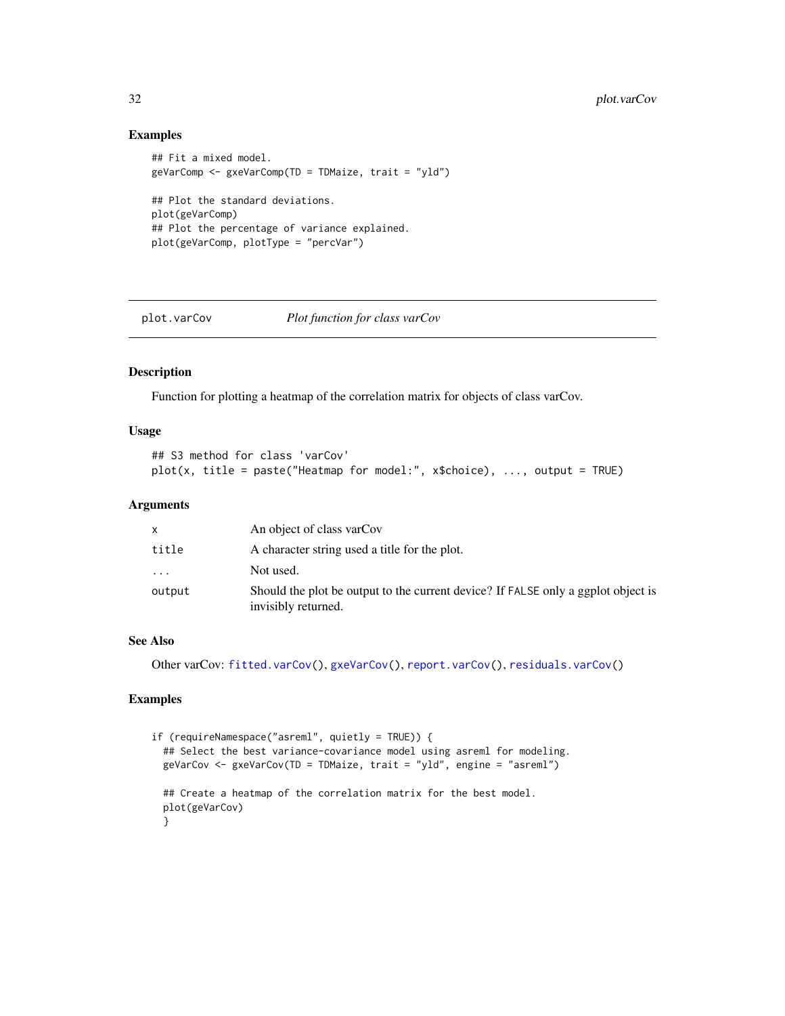#### Examples

```
## Fit a mixed model.
geVarComp <- gxeVarComp(TD = TDMaize, trait = "yld")
## Plot the standard deviations.
plot(geVarComp)
## Plot the percentage of variance explained.
plot(geVarComp, plotType = "percVar")
```
<span id="page-31-1"></span>

plot.varCov *Plot function for class varCov*

## Description

Function for plotting a heatmap of the correlation matrix for objects of class varCov.

## Usage

```
## S3 method for class 'varCov'
plot(x, title = paste("Heatmap for model:", x$choice), ..., output = TRUE)
```
#### Arguments

| X        | An object of class varCov                                                                                |
|----------|----------------------------------------------------------------------------------------------------------|
| title    | A character string used a title for the plot.                                                            |
| $\cdots$ | Not used.                                                                                                |
| output   | Should the plot be output to the current device? If FALSE only a ggplot object is<br>invisibly returned. |

## See Also

Other varCov: [fitted.varCov\(](#page-7-2)), [gxeVarCov\(](#page-19-1)), [report.varCov\(](#page-37-1)), [residuals.varCov\(](#page-39-1))

```
if (requireNamespace("asreml", quietly = TRUE)) {
 ## Select the best variance-covariance model using asreml for modeling.
 geVarCov <- gxeVarCov(TD = TDMaize, trait = "yld", engine = "asreml")
 ## Create a heatmap of the correlation matrix for the best model.
 plot(geVarCov)
 }
```
<span id="page-31-0"></span>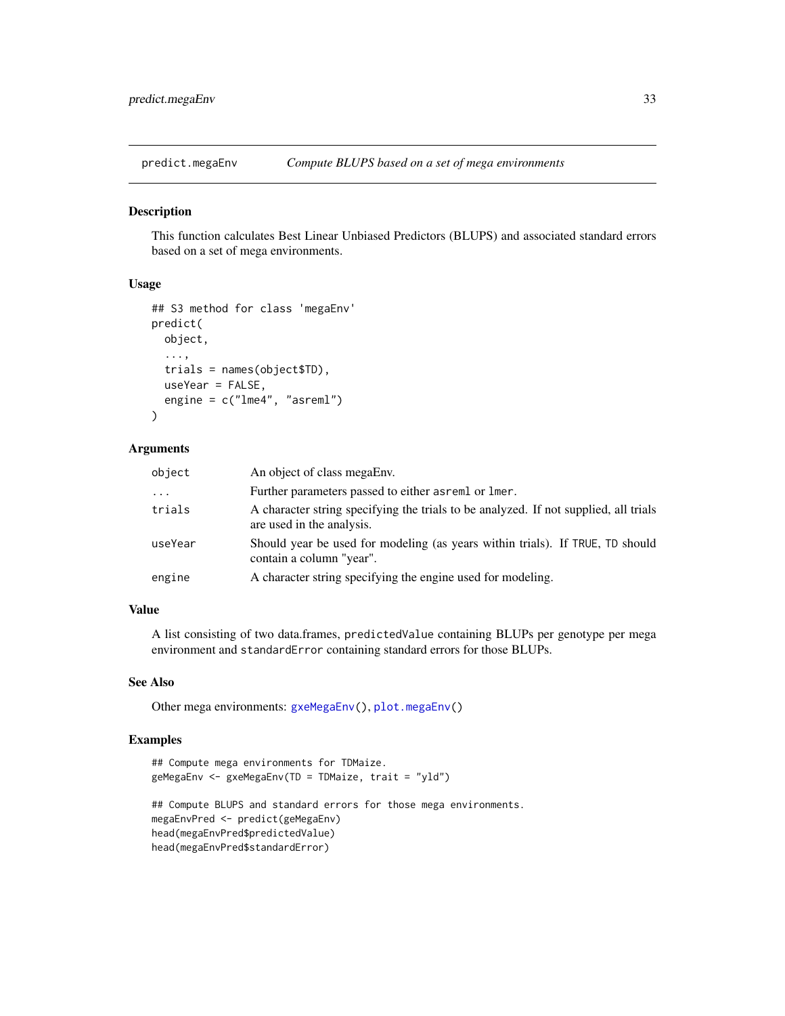<span id="page-32-1"></span><span id="page-32-0"></span>

This function calculates Best Linear Unbiased Predictors (BLUPS) and associated standard errors based on a set of mega environments.

#### Usage

```
## S3 method for class 'megaEnv'
predict(
 object,
  ...,
  trials = names(object$TD),
  useYear = FALSE,
  engine = c("lme4", "asreml")
)
```
#### Arguments

| object  | An object of class megaEnv.                                                                                       |
|---------|-------------------------------------------------------------------------------------------------------------------|
| .       | Further parameters passed to either as reml or lmer.                                                              |
| trials  | A character string specifying the trials to be analyzed. If not supplied, all trials<br>are used in the analysis. |
| useYear | Should year be used for modeling (as years within trials). If TRUE, TD should<br>contain a column "year".         |
| engine  | A character string specifying the engine used for modeling.                                                       |

## Value

A list consisting of two data.frames, predictedValue containing BLUPs per genotype per mega environment and standardError containing standard errors for those BLUPs.

#### See Also

Other mega environments: [gxeMegaEnv\(](#page-14-1)), [plot.megaEnv\(](#page-28-1))

```
## Compute mega environments for TDMaize.
geMegaEnv <- gxeMegaEnv(TD = TDMaize, trait = "yld")
## Compute BLUPS and standard errors for those mega environments.
megaEnvPred <- predict(geMegaEnv)
head(megaEnvPred$predictedValue)
head(megaEnvPred$standardError)
```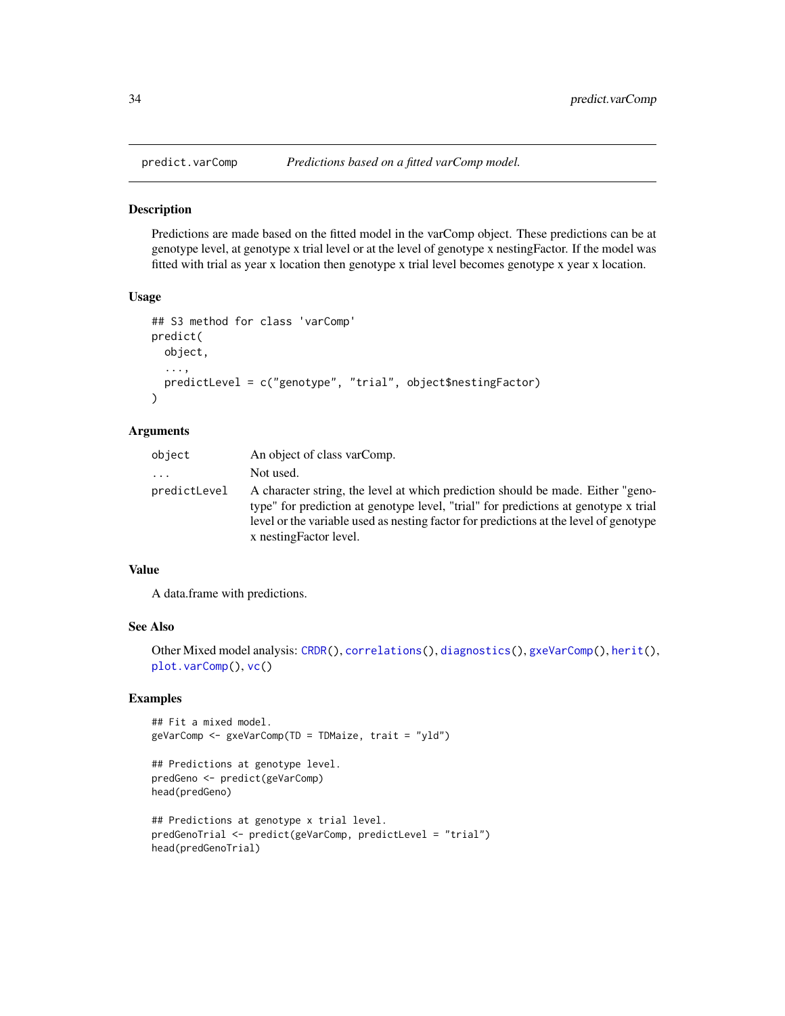<span id="page-33-1"></span><span id="page-33-0"></span>

Predictions are made based on the fitted model in the varComp object. These predictions can be at genotype level, at genotype x trial level or at the level of genotype x nestingFactor. If the model was fitted with trial as year x location then genotype x trial level becomes genotype x year x location.

#### Usage

```
## S3 method for class 'varComp'
predict(
 object,
  ...,
 predictLevel = c("genotype", "trial", object$nestingFactor)
)
```
## Arguments

| object                  | An object of class varComp.                                                                                                                                                                                                                                                                |
|-------------------------|--------------------------------------------------------------------------------------------------------------------------------------------------------------------------------------------------------------------------------------------------------------------------------------------|
| $\cdot$ $\cdot$ $\cdot$ | Not used.                                                                                                                                                                                                                                                                                  |
| predictLevel            | A character string, the level at which prediction should be made. Either "geno-<br>type" for prediction at genotype level, "trial" for predictions at genotype x trial<br>level or the variable used as nesting factor for predictions at the level of genotype<br>x nesting Factor level. |

#### Value

A data.frame with predictions.

#### See Also

```
Other Mixed model analysis: CRDR(), correlations(), diagnostics(), gxeVarComp(), herit(),
plot.varComp(), vc()
```

```
## Fit a mixed model.
geVarComp <- gxeVarComp(TD = TDMaize, trait = "yld")
```

```
## Predictions at genotype level.
predGeno <- predict(geVarComp)
head(predGeno)
```

```
## Predictions at genotype x trial level.
predGenoTrial <- predict(geVarComp, predictLevel = "trial")
head(predGenoTrial)
```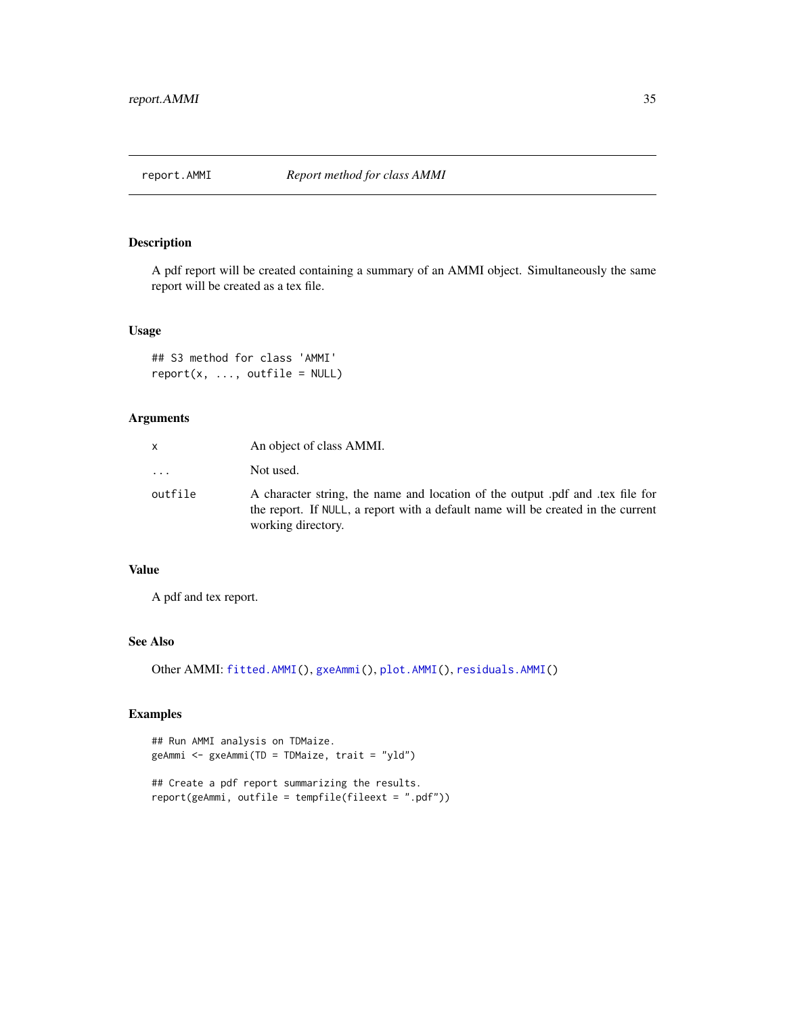<span id="page-34-1"></span><span id="page-34-0"></span>

A pdf report will be created containing a summary of an AMMI object. Simultaneously the same report will be created as a tex file.

#### Usage

```
## S3 method for class 'AMMI'
report(x, ..., outfile = NULL)
```
## Arguments

| x                       | An object of class AMMI.                                                                                                                                                               |
|-------------------------|----------------------------------------------------------------------------------------------------------------------------------------------------------------------------------------|
| $\cdot$ $\cdot$ $\cdot$ | Not used.                                                                                                                                                                              |
| outfile                 | A character string, the name and location of the output pdf and tex file for<br>the report. If NULL, a report with a default name will be created in the current<br>working directory. |

#### Value

A pdf and tex report.

## See Also

Other AMMI: [fitted.AMMI\(](#page-6-1)), [gxeAmmi\(](#page-8-1)), [plot.AMMI\(](#page-24-1)), [residuals.AMMI\(](#page-38-1))

## Examples

```
## Run AMMI analysis on TDMaize.
geAmmi <- gxeAmmi(TD = TDMaize, trait = "yld")
```
## Create a pdf report summarizing the results. report(geAmmi, outfile = tempfile(fileext = ".pdf"))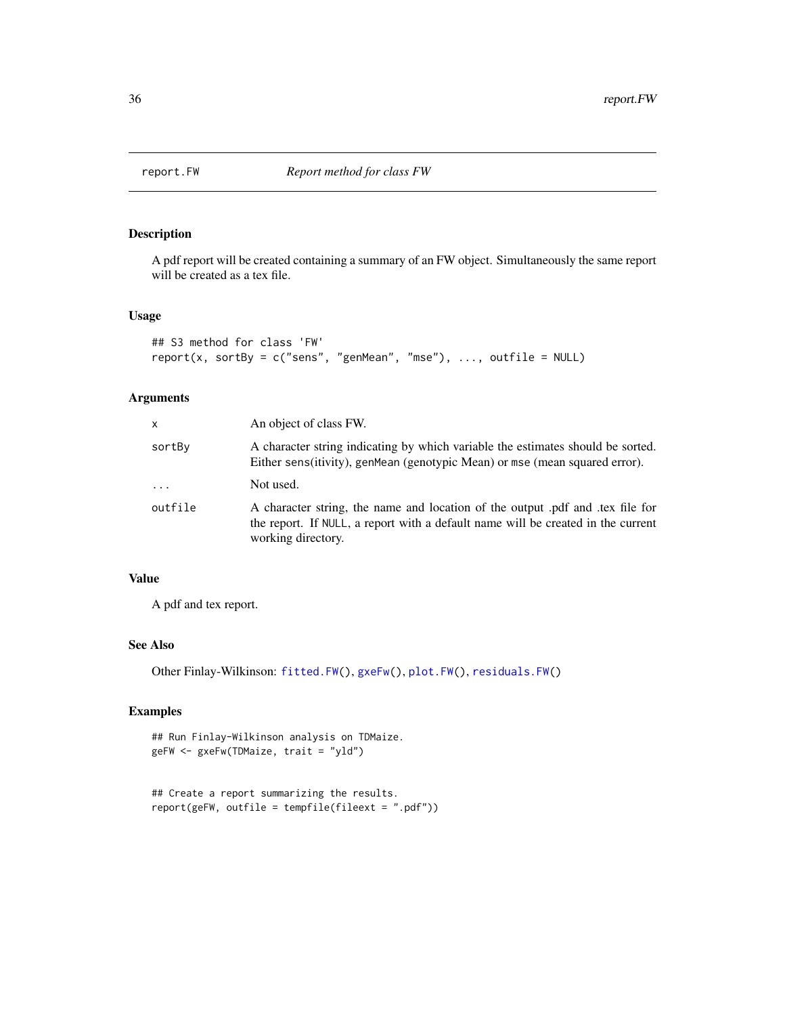<span id="page-35-1"></span><span id="page-35-0"></span>

A pdf report will be created containing a summary of an FW object. Simultaneously the same report will be created as a tex file.

## Usage

```
## S3 method for class 'FW'
report(x, sortBy = c("sens", "genMean", "mse"), ..., outfile = NULL)
```
## Arguments

| x        | An object of class FW.                                                                                                                                                                 |
|----------|----------------------------------------------------------------------------------------------------------------------------------------------------------------------------------------|
| sortBy   | A character string indicating by which variable the estimates should be sorted.<br>Either sens (itivity), genMean (genotypic Mean) or mse (mean squared error).                        |
| $\cdots$ | Not used.                                                                                                                                                                              |
| outfile  | A character string, the name and location of the output pdf and tex file for<br>the report. If NULL, a report with a default name will be created in the current<br>working directory. |

## Value

A pdf and tex report.

## See Also

Other Finlay-Wilkinson: [fitted.FW\(](#page-7-1)), [gxeFw\(](#page-10-1)), [plot.FW\(](#page-26-1)), [residuals.FW\(](#page-38-2))

```
## Run Finlay-Wilkinson analysis on TDMaize.
geFW <- gxeFw(TDMaize, trait = "yld")
```

```
## Create a report summarizing the results.
report(geFW, outfile = tempfile(fileext = ".pdf"))
```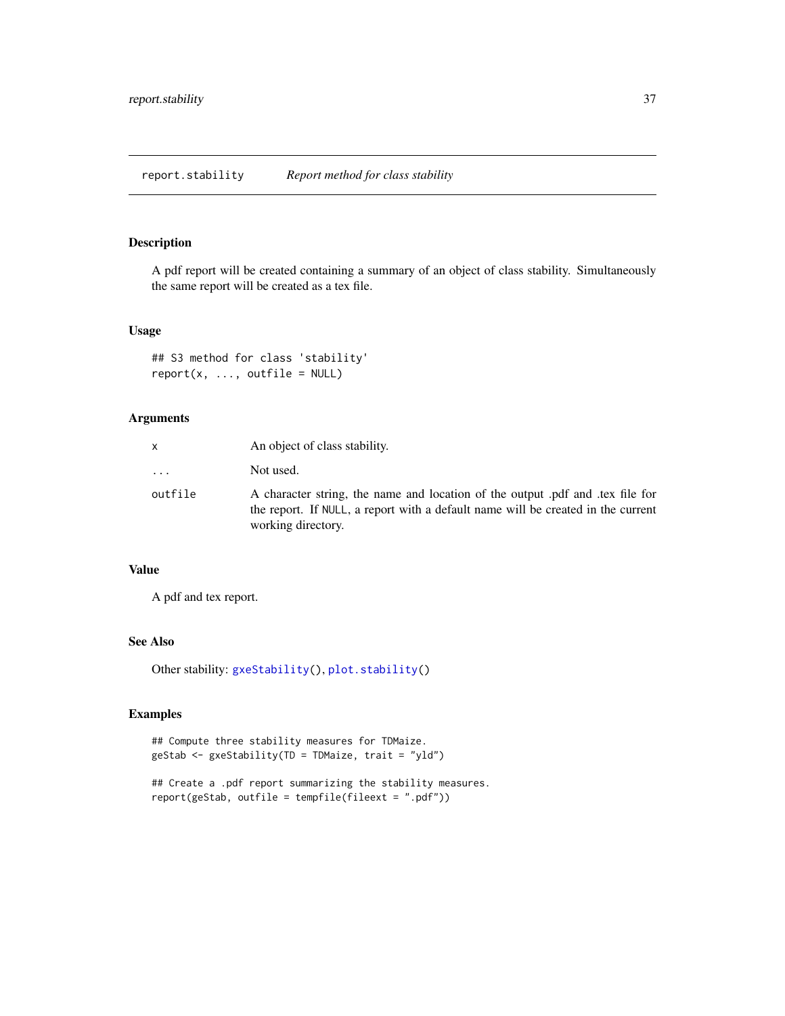<span id="page-36-1"></span><span id="page-36-0"></span>A pdf report will be created containing a summary of an object of class stability. Simultaneously the same report will be created as a tex file.

#### Usage

```
## S3 method for class 'stability'
report(x, ..., outfile = NULL)
```
## Arguments

| x                       | An object of class stability.                                                                                                                                                          |
|-------------------------|----------------------------------------------------------------------------------------------------------------------------------------------------------------------------------------|
| $\cdot$ $\cdot$ $\cdot$ | Not used.                                                                                                                                                                              |
| outfile                 | A character string, the name and location of the output pdf and tex file for<br>the report. If NULL, a report with a default name will be created in the current<br>working directory. |

#### Value

A pdf and tex report.

## See Also

Other stability: [gxeStability\(](#page-15-1)), [plot.stability\(](#page-29-1))

```
## Compute three stability measures for TDMaize.
geStab <- gxeStability(TD = TDMaize, trait = "yld")
```

```
## Create a .pdf report summarizing the stability measures.
report(geStab, outfile = tempfile(fileext = ".pdf"))
```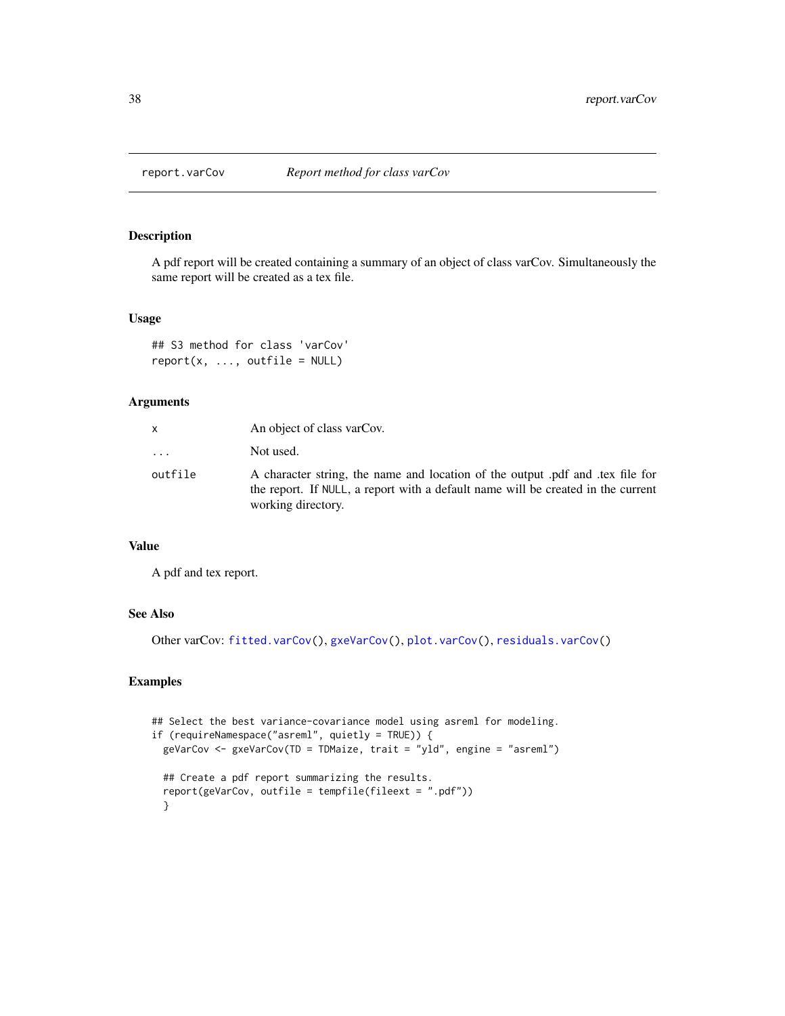<span id="page-37-1"></span><span id="page-37-0"></span>

A pdf report will be created containing a summary of an object of class varCov. Simultaneously the same report will be created as a tex file.

#### Usage

## S3 method for class 'varCov'  $report(x, ..., outfile = NULL)$ 

## Arguments

|         | An object of class varCov.                                                                                                                                                             |
|---------|----------------------------------------------------------------------------------------------------------------------------------------------------------------------------------------|
| .       | Not used.                                                                                                                                                                              |
| outfile | A character string, the name and location of the output pdf and tex file for<br>the report. If NULL, a report with a default name will be created in the current<br>working directory. |

#### Value

A pdf and tex report.

#### See Also

Other varCov: [fitted.varCov\(](#page-7-2)), [gxeVarCov\(](#page-19-1)), [plot.varCov\(](#page-31-1)), [residuals.varCov\(](#page-39-1))

```
## Select the best variance-covariance model using asreml for modeling.
if (requireNamespace("asreml", quietly = TRUE)) {
 geVarCov <- gxeVarCov(TD = TDMaize, trait = "yld", engine = "asreml")
 ## Create a pdf report summarizing the results.
 report(geVarCov, outfile = tempfile(fileext = ".pdf"))
 }
```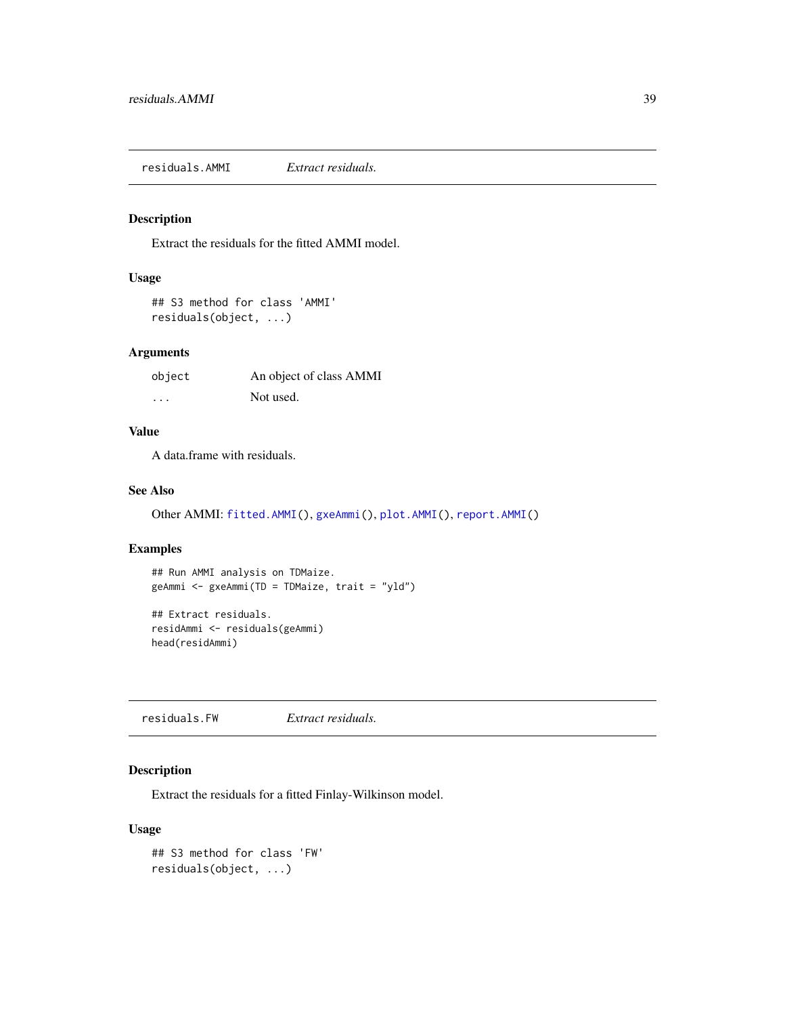<span id="page-38-1"></span><span id="page-38-0"></span>residuals.AMMI *Extract residuals.*

## Description

Extract the residuals for the fitted AMMI model.

#### Usage

```
## S3 method for class 'AMMI'
residuals(object, ...)
```
## Arguments

| object | An object of class AMMI |
|--------|-------------------------|
| .      | Not used.               |

## Value

A data.frame with residuals.

#### See Also

Other AMMI: [fitted.AMMI\(](#page-6-1)), [gxeAmmi\(](#page-8-1)), [plot.AMMI\(](#page-24-1)), [report.AMMI\(](#page-34-1))

## Examples

```
## Run AMMI analysis on TDMaize.
geAmmi <- gxeAmmi(TD = TDMaize, trait = "yld")
## Extract residuals.
```
residAmmi <- residuals(geAmmi) head(residAmmi)

<span id="page-38-2"></span>residuals.FW *Extract residuals.*

## Description

Extract the residuals for a fitted Finlay-Wilkinson model.

#### Usage

```
## S3 method for class 'FW'
residuals(object, ...)
```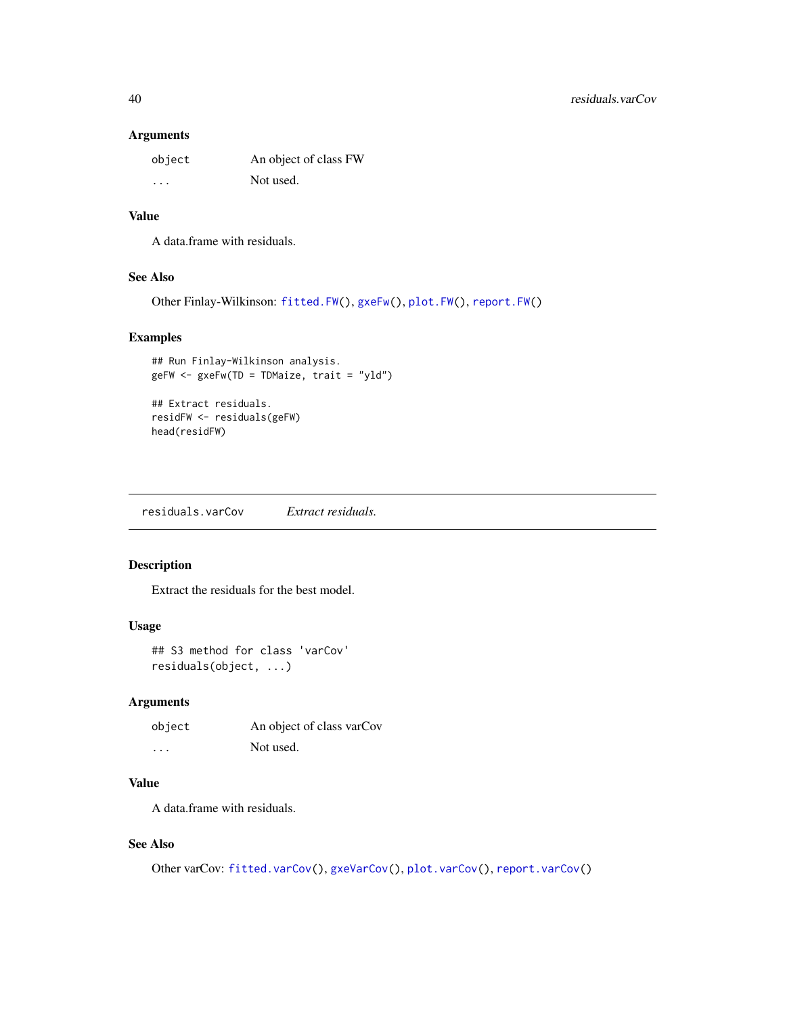#### <span id="page-39-0"></span>Arguments

| object  | An object of class FW |
|---------|-----------------------|
| $\cdot$ | Not used.             |

## Value

A data.frame with residuals.

## See Also

Other Finlay-Wilkinson: [fitted.FW\(](#page-7-1)), [gxeFw\(](#page-10-1)), [plot.FW\(](#page-26-1)), [report.FW\(](#page-35-1))

## Examples

```
## Run Finlay-Wilkinson analysis.
geFW <- gxeFw(TD = TDMaize, trait = "yld")
## Extract residuals.
residFW <- residuals(geFW)
```
head(residFW)

<span id="page-39-1"></span>residuals.varCov *Extract residuals.*

## Description

Extract the residuals for the best model.

#### Usage

```
## S3 method for class 'varCov'
residuals(object, ...)
```
## Arguments

| object   | An object of class varCov |
|----------|---------------------------|
| $\cdots$ | Not used.                 |

## Value

A data.frame with residuals.

## See Also

Other varCov: [fitted.varCov\(](#page-7-2)), [gxeVarCov\(](#page-19-1)), [plot.varCov\(](#page-31-1)), [report.varCov\(](#page-37-1))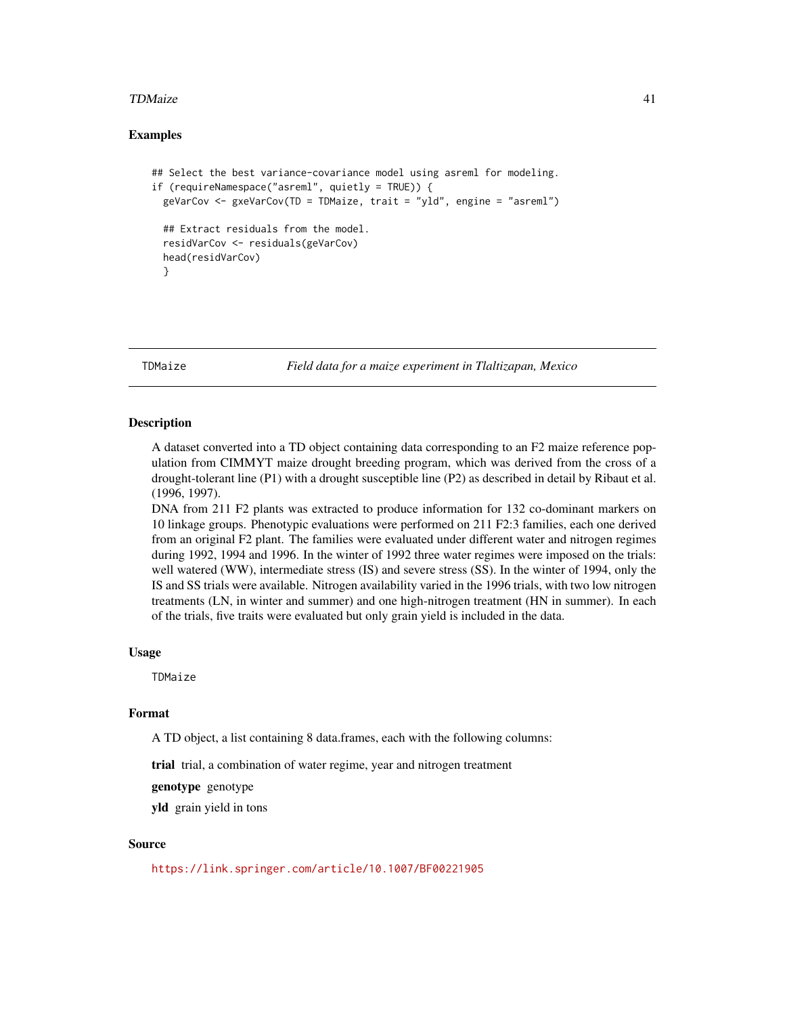#### <span id="page-40-0"></span>TDMaize 41

### Examples

```
## Select the best variance-covariance model using asreml for modeling.
if (requireNamespace("asreml", quietly = TRUE)) {
 geVarCov <- gxeVarCov(TD = TDMaize, trait = "yld", engine = "asreml")
 ## Extract residuals from the model.
 residVarCov <- residuals(geVarCov)
 head(residVarCov)
 }
```
TDMaize *Field data for a maize experiment in Tlaltizapan, Mexico*

#### Description

A dataset converted into a TD object containing data corresponding to an F2 maize reference population from CIMMYT maize drought breeding program, which was derived from the cross of a drought-tolerant line (P1) with a drought susceptible line (P2) as described in detail by Ribaut et al. (1996, 1997).

DNA from 211 F2 plants was extracted to produce information for 132 co-dominant markers on 10 linkage groups. Phenotypic evaluations were performed on 211 F2:3 families, each one derived from an original F2 plant. The families were evaluated under different water and nitrogen regimes during 1992, 1994 and 1996. In the winter of 1992 three water regimes were imposed on the trials: well watered (WW), intermediate stress (IS) and severe stress (SS). In the winter of 1994, only the IS and SS trials were available. Nitrogen availability varied in the 1996 trials, with two low nitrogen treatments (LN, in winter and summer) and one high-nitrogen treatment (HN in summer). In each of the trials, five traits were evaluated but only grain yield is included in the data.

#### Usage

TDMaize

## Format

A TD object, a list containing 8 data.frames, each with the following columns:

trial trial, a combination of water regime, year and nitrogen treatment

genotype genotype

yld grain yield in tons

## Source

<https://link.springer.com/article/10.1007/BF00221905>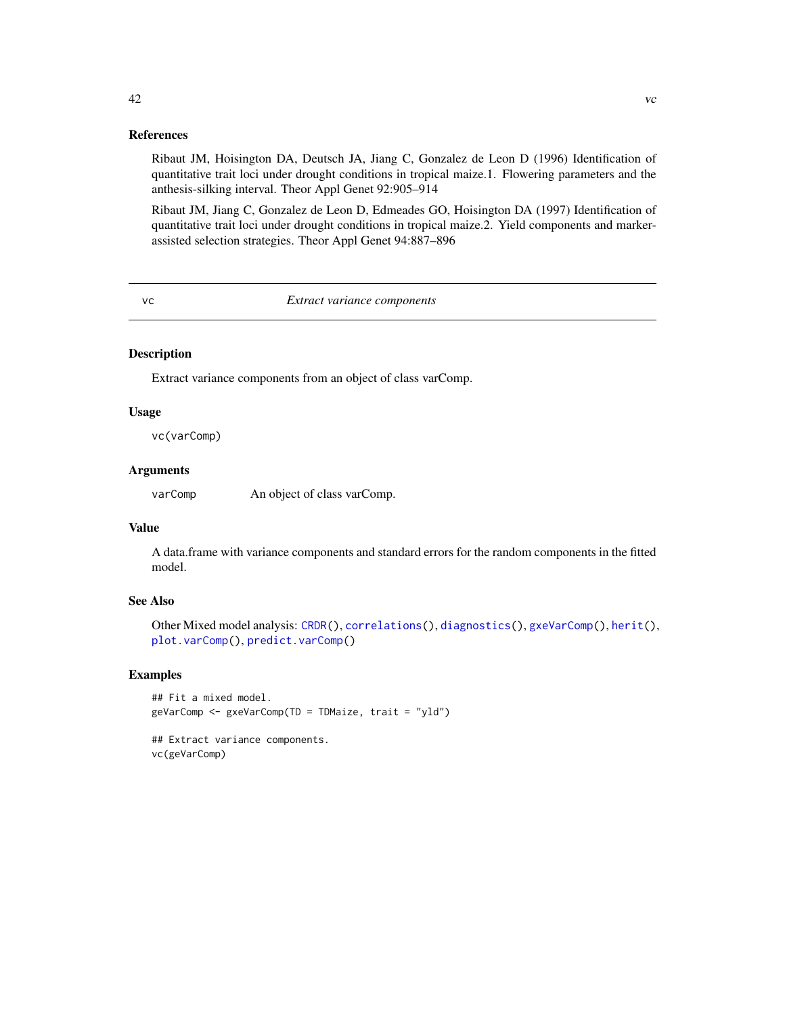#### References

Ribaut JM, Hoisington DA, Deutsch JA, Jiang C, Gonzalez de Leon D (1996) Identification of quantitative trait loci under drought conditions in tropical maize.1. Flowering parameters and the anthesis-silking interval. Theor Appl Genet 92:905–914

Ribaut JM, Jiang C, Gonzalez de Leon D, Edmeades GO, Hoisington DA (1997) Identification of quantitative trait loci under drought conditions in tropical maize.2. Yield components and markerassisted selection strategies. Theor Appl Genet 94:887–896

<span id="page-41-1"></span>vc *Extract variance components*

#### Description

Extract variance components from an object of class varComp.

#### Usage

vc(varComp)

## Arguments

varComp An object of class varComp.

### Value

A data.frame with variance components and standard errors for the random components in the fitted model.

## See Also

```
Other Mixed model analysis: CRDR(), correlations(), diagnostics(), gxeVarComp(), herit(),
plot.varComp(), predict.varComp()
```
#### Examples

```
## Fit a mixed model.
geVarComp <- gxeVarComp(TD = TDMaize, trait = "yld")
```
## Extract variance components. vc(geVarComp)

<span id="page-41-0"></span>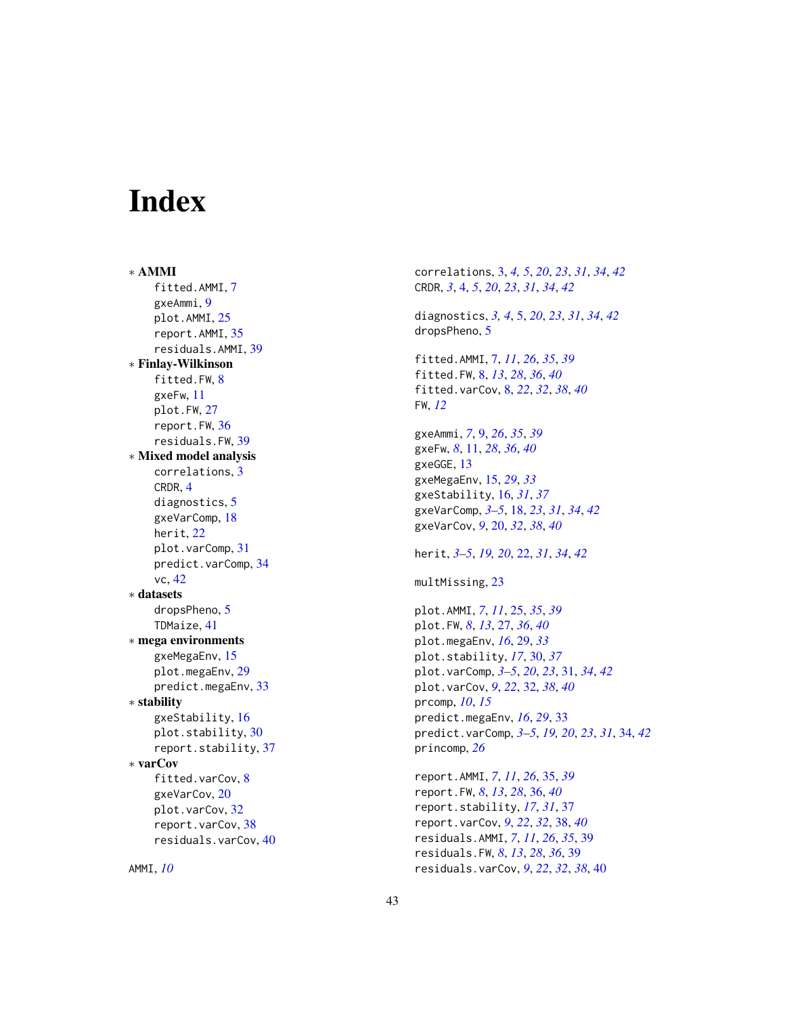# <span id="page-42-0"></span>Index

∗ AMMI fitted.AMMI, [7](#page-6-0) gxeAmmi , [9](#page-8-0) plot.AMMI , [25](#page-24-0) report.AMMI , [35](#page-34-0) residuals.AMMI , [39](#page-38-0) ∗ Finlay-Wilkinson fitted.FW, [8](#page-7-0) gxeFw , [11](#page-10-0) plot.FW , [27](#page-26-0) report.FW , [36](#page-35-0) residuals.FW , [39](#page-38-0) ∗ Mixed model analysis correlations , [3](#page-2-0) CRDR , [4](#page-3-0) diagnostics , [5](#page-4-0) gxeVarComp , [18](#page-17-0) herit , [22](#page-21-0) plot.varComp, [31](#page-30-0) predict.varComp , [34](#page-33-0) vc , [42](#page-41-0) ∗ datasets dropsPheno , [5](#page-4-0) TDMaize , [41](#page-40-0) ∗ mega environments gxeMegaEnv , [15](#page-14-0) plot.megaEnv , [29](#page-28-0) predict.megaEnv , [33](#page-32-0) ∗ stability gxeStability, [16](#page-15-0) plot.stability , [30](#page-29-0) report.stability , [37](#page-36-0) ∗ varCov fitted.varCov , [8](#page-7-0) gxeVarCov , [20](#page-19-0) plot.varCov , [32](#page-31-0) report.varCov, [38](#page-37-0) residuals.varCov , [40](#page-39-0)

AMMI , *[10](#page-9-0)*

correlations , [3](#page-2-0) , *[4](#page-3-0) , [5](#page-4-0)* , *[20](#page-19-0)* , *[23](#page-22-0)* , *[31](#page-30-0)* , *[34](#page-33-0)* , *[42](#page-41-0)* CRDR , *[3](#page-2-0)* , [4](#page-3-0) , *[5](#page-4-0)* , *[20](#page-19-0)* , *[23](#page-22-0)* , *[31](#page-30-0)* , *[34](#page-33-0)* , *[42](#page-41-0)* diagnostics , *[3](#page-2-0) , [4](#page-3-0)* , [5](#page-4-0) , *[20](#page-19-0)* , *[23](#page-22-0)* , *[31](#page-30-0)* , *[34](#page-33-0)* , *[42](#page-41-0)* dropsPheno, [5](#page-4-0) fitted.AMMI , [7](#page-6-0) , *[11](#page-10-0)* , *[26](#page-25-0)* , *[35](#page-34-0)* , *[39](#page-38-0)* fitted.FW , [8](#page-7-0) , *[13](#page-12-0)* , *[28](#page-27-0)* , *[36](#page-35-0)* , *[40](#page-39-0)* fitted.varCov , [8](#page-7-0) , *[22](#page-21-0)* , *[32](#page-31-0)* , *[38](#page-37-0)* , *[40](#page-39-0)* FW , *[12](#page-11-0)* gxeAmmi , *[7](#page-6-0)* , [9](#page-8-0) , *[26](#page-25-0)* , *[35](#page-34-0)* , *[39](#page-38-0)* gxeFw, [8](#page-7-0), [11](#page-10-0), [28](#page-27-0), [36](#page-35-0), [40](#page-39-0) gxeGGE , [13](#page-12-0) gxeMegaEnv , [15](#page-14-0) , *[29](#page-28-0)* , *[33](#page-32-0)* gxeStability , [16](#page-15-0) , *[31](#page-30-0)* , *[37](#page-36-0)* gxeVarComp , *[3](#page-2-0) – [5](#page-4-0)* , [18](#page-17-0) , *[23](#page-22-0)* , *[31](#page-30-0)* , *[34](#page-33-0)* , *[42](#page-41-0)* gxeVarCov , *[9](#page-8-0)* , [20](#page-19-0) , *[32](#page-31-0)* , *[38](#page-37-0)* , *[40](#page-39-0)* herit , *[3](#page-2-0) – [5](#page-4-0)* , *[19](#page-18-0) , [20](#page-19-0)* , [22](#page-21-0) , *[31](#page-30-0)* , *[34](#page-33-0)* , *[42](#page-41-0)* multMissing , [23](#page-22-0) plot.AMMI , *[7](#page-6-0)* , *[11](#page-10-0)* , [25](#page-24-0) , *[35](#page-34-0)* , *[39](#page-38-0)* plot.FW , *[8](#page-7-0)* , *[13](#page-12-0)* , [27](#page-26-0) , *[36](#page-35-0)* , *[40](#page-39-0)* plot.megaEnv , *[16](#page-15-0)* , [29](#page-28-0) , *[33](#page-32-0)* plot.stability , *[17](#page-16-0)* , [30](#page-29-0) , *[37](#page-36-0)* plot.varComp , *[3](#page-2-0) – [5](#page-4-0)* , *[20](#page-19-0)* , *[23](#page-22-0)* , [31](#page-30-0) , *[34](#page-33-0)* , *[42](#page-41-0)* plot.varCov , *[9](#page-8-0)* , *[22](#page-21-0)* , [32](#page-31-0) , *[38](#page-37-0)* , *[40](#page-39-0)* prcomp , *[10](#page-9-0)* , *[15](#page-14-0)* predict.megaEnv , *[16](#page-15-0)* , *[29](#page-28-0)* , [33](#page-32-0) predict.varComp , *[3](#page-2-0) – [5](#page-4-0)* , *[19](#page-18-0) , [20](#page-19-0)* , *[23](#page-22-0)* , *[31](#page-30-0)* , [34](#page-33-0) , *[42](#page-41-0)* princomp , *[26](#page-25-0)*

report.AMMI , *[7](#page-6-0)* , *[11](#page-10-0)* , *[26](#page-25-0)* , [35](#page-34-0) , *[39](#page-38-0)* report.FW , *[8](#page-7-0)* , *[13](#page-12-0)* , *[28](#page-27-0)* , [36](#page-35-0) , *[40](#page-39-0)* report.stability , *[17](#page-16-0)* , *[31](#page-30-0)* , [37](#page-36-0) report.varCov , *[9](#page-8-0)* , *[22](#page-21-0)* , *[32](#page-31-0)* , [38](#page-37-0) , *[40](#page-39-0)* residuals.AMMI , *[7](#page-6-0)* , *[11](#page-10-0)* , *[26](#page-25-0)* , *[35](#page-34-0)* , [39](#page-38-0) residuals.FW , *[8](#page-7-0)* , *[13](#page-12-0)* , *[28](#page-27-0)* , *[36](#page-35-0)* , [39](#page-38-0) residuals.varCov , *[9](#page-8-0)* , *[22](#page-21-0)* , *[32](#page-31-0)* , *[38](#page-37-0)* , [40](#page-39-0)